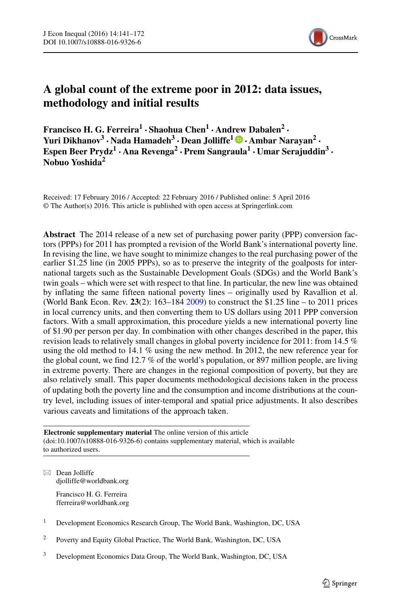

# **A global count of the extreme poor in 2012: data issues, methodology and initial results**

**Francisco H. G. Ferreira<sup>1</sup> · Shaohua Chen<sup>1</sup> · And[rew](http://orcid.org/0000-0002-7371-5598) Dabalen<sup>2</sup> · Yuri Dikhanov<sup>3</sup> · Nada Hamadeh<sup>3</sup> · Dean Jolliffe1 · Ambar Narayan2 · Espen Beer Prydz<sup>1</sup> · Ana Revenga<sup>2</sup> ·Prem Sangraula<sup>1</sup> · Umar Serajuddin<sup>3</sup> · Nobuo Yoshida<sup>2</sup>**

Received: 17 February 2016 / Accepted: 22 February 2016 / Published online: 5 April 2016 © The Author(s) 2016. This article is published with open access at Springerlink.com

**Abstract** The 2014 release of a new set of purchasing power parity (PPP) conversion factors (PPPs) for 2011 has prompted a revision of the World Bank's international poverty line. In revising the line, we have sought to minimize changes to the real purchasing power of the earlier \$1.25 line (in 2005 PPPs), so as to preserve the integrity of the goalposts for international targets such as the Sustainable Development Goals (SDGs) and the World Bank's twin goals – which were set with respect to that line. In particular, the new line was obtained by inflating the same fifteen national poverty lines – originally used by Ravallion et al. (World Bank Econ. Rev. **23**(2): 163–184 [2009\)](#page-30-0) to construct the \$1.25 line – to 2011 prices in local currency units, and then converting them to US dollars using 2011 PPP conversion factors. With a small approximation, this procedure yields a new international poverty line of \$1.90 per person per day. In combination with other changes described in the paper, this revision leads to relatively small changes in global poverty incidence for 2011: from 14.5 % using the old method to 14.1 % using the new method. In 2012, the new reference year for the global count, we find 12.7 % of the world's population, or 897 million people, are living in extreme poverty. There are changes in the regional composition of poverty, but they are also relatively small. This paper documents methodological decisions taken in the process of updating both the poverty line and the consumption and income distributions at the country level, including issues of inter-temporal and spatial price adjustments. It also describes various caveats and limitations of the approach taken.

**Electronic supplementary material** The online version of this article (doi[:10.1007/s10888-016-9326-6\)](http://dx.doi.org/10.1007/s10888-016-9326-6) contains supplementary material, which is available to authorized users.

 $\boxtimes$  Dean Jolliffe [djolliffe@worldbank.org](mailto:djolliffe@worldbank.org)

> Francisco H. G. Ferreira [fferreira@worldbank.org](mailto:fferreira@worldbank.org)

- <sup>2</sup> Poverty and Equity Global Practice, The World Bank, Washington, DC, USA
- <sup>3</sup> Development Economics Data Group, The World Bank, Washington, DC, USA

<sup>&</sup>lt;sup>1</sup> Development Economics Research Group, The World Bank, Washington, DC, USA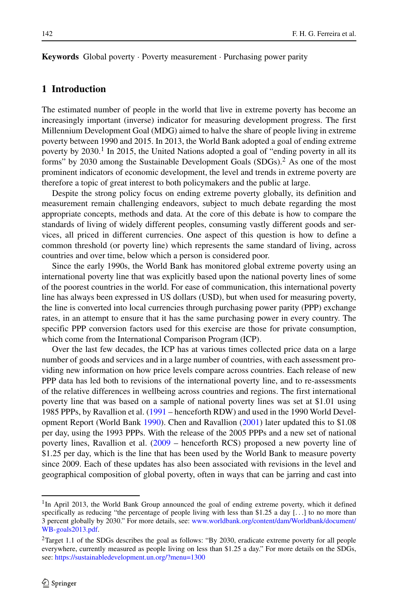**Keywords** Global poverty · Poverty measurement · Purchasing power parity

## **1 Introduction**

The estimated number of people in the world that live in extreme poverty has become an increasingly important (inverse) indicator for measuring development progress. The first Millennium Development Goal (MDG) aimed to halve the share of people living in extreme poverty between 1990 and 2015. In 2013, the World Bank adopted a goal of ending extreme poverty by  $2030<sup>1</sup>$  $2030<sup>1</sup>$  $2030<sup>1</sup>$  In 2015, the United Nations adopted a goal of "ending poverty in all its forms" by 2030 among the Sustainable Development Goals (SDGs)[.2](#page-1-1) As one of the most prominent indicators of economic development, the level and trends in extreme poverty are therefore a topic of great interest to both policymakers and the public at large.

Despite the strong policy focus on ending extreme poverty globally, its definition and measurement remain challenging endeavors, subject to much debate regarding the most appropriate concepts, methods and data. At the core of this debate is how to compare the standards of living of widely different peoples, consuming vastly different goods and services, all priced in different currencies. One aspect of this question is how to define a common threshold (or poverty line) which represents the same standard of living, across countries and over time, below which a person is considered poor.

Since the early 1990s, the World Bank has monitored global extreme poverty using an international poverty line that was explicitly based upon the national poverty lines of some of the poorest countries in the world. For ease of communication, this international poverty line has always been expressed in US dollars (USD), but when used for measuring poverty, the line is converted into local currencies through purchasing power parity (PPP) exchange rates, in an attempt to ensure that it has the same purchasing power in every country. The specific PPP conversion factors used for this exercise are those for private consumption, which come from the International Comparison Program (ICP).

Over the last few decades, the ICP has at various times collected price data on a large number of goods and services and in a large number of countries, with each assessment providing new information on how price levels compare across countries. Each release of new PPP data has led both to revisions of the international poverty line, and to re-assessments of the relative differences in wellbeing across countries and regions. The first international poverty line that was based on a sample of national poverty lines was set at \$1.01 using 1985 PPPs, by Ravallion et al. [\(1991](#page-30-1) – henceforth RDW) and used in the 1990 World Development Report (World Bank [1990\)](#page-31-0). Chen and Ravallion [\(2001\)](#page-29-0) later updated this to \$1.08 per day, using the 1993 PPPs. With the release of the 2005 PPPs and a new set of national poverty lines, Ravallion et al. [\(2009](#page-30-0) – henceforth RCS) proposed a new poverty line of \$1.25 per day, which is the line that has been used by the World Bank to measure poverty since 2009. Each of these updates has also been associated with revisions in the level and geographical composition of global poverty, often in ways that can be jarring and cast into

<span id="page-1-0"></span><sup>&</sup>lt;sup>1</sup>In April 2013, the World Bank Group announced the goal of ending extreme poverty, which it defined specifically as reducing "the percentage of people living with less than \$1.25 a day [*...*] to no more than 3 percent globally by 2030." For more details, see: [www.worldbank.org/content/dam/Worldbank/document/](www.worldbank.org/content/dam/Worldbank/document/WB-goals2013.pdf) [WB-goals2013.pdf.](www.worldbank.org/content/dam/Worldbank/document/WB-goals2013.pdf)

<span id="page-1-1"></span><sup>&</sup>lt;sup>2</sup>Target 1.1 of the SDGs describes the goal as follows: "By 2030, eradicate extreme poverty for all people everywhere, currently measured as people living on less than \$1.25 a day." For more details on the SDGs, see: <https://sustainabledevelopment.un.org/?menu=1300>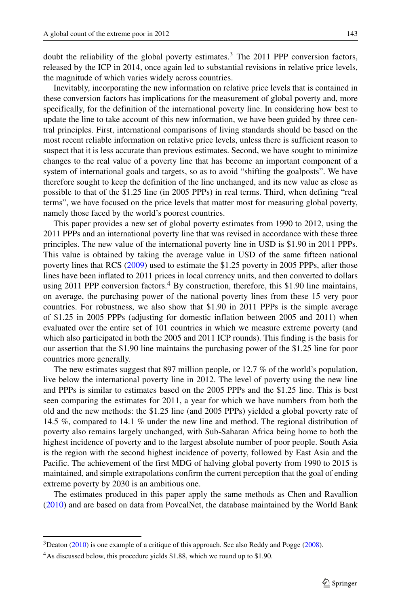doubt the reliability of the global poverty estimates. $3$  The 2011 PPP conversion factors, released by the ICP in 2014, once again led to substantial revisions in relative price levels, the magnitude of which varies widely across countries.

Inevitably, incorporating the new information on relative price levels that is contained in these conversion factors has implications for the measurement of global poverty and, more specifically, for the definition of the international poverty line. In considering how best to update the line to take account of this new information, we have been guided by three central principles. First, international comparisons of living standards should be based on the most recent reliable information on relative price levels, unless there is sufficient reason to suspect that it is less accurate than previous estimates. Second, we have sought to minimize changes to the real value of a poverty line that has become an important component of a system of international goals and targets, so as to avoid "shifting the goalposts". We have therefore sought to keep the definition of the line unchanged, and its new value as close as possible to that of the \$1.25 line (in 2005 PPPs) in real terms. Third, when defining "real terms", we have focused on the price levels that matter most for measuring global poverty, namely those faced by the world's poorest countries.

This paper provides a new set of global poverty estimates from 1990 to 2012, using the 2011 PPPs and an international poverty line that was revised in accordance with these three principles. The new value of the international poverty line in USD is \$1.90 in 2011 PPPs. This value is obtained by taking the average value in USD of the same fifteen national poverty lines that RCS [\(2009\)](#page-30-0) used to estimate the \$1.25 poverty in 2005 PPPs, after those lines have been inflated to 2011 prices in local currency units, and then converted to dollars using  $2011$  PPP conversion factors.<sup>4</sup> By construction, therefore, this \$1.90 line maintains, on average, the purchasing power of the national poverty lines from these 15 very poor countries. For robustness, we also show that \$1.90 in 2011 PPPs is the simple average of \$1.25 in 2005 PPPs (adjusting for domestic inflation between 2005 and 2011) when evaluated over the entire set of 101 countries in which we measure extreme poverty (and which also participated in both the 2005 and 2011 ICP rounds). This finding is the basis for our assertion that the \$1.90 line maintains the purchasing power of the \$1.25 line for poor countries more generally.

The new estimates suggest that 897 million people, or 12.7 % of the world's population, live below the international poverty line in 2012. The level of poverty using the new line and PPPs is similar to estimates based on the 2005 PPPs and the \$1.25 line. This is best seen comparing the estimates for 2011, a year for which we have numbers from both the old and the new methods: the \$1.25 line (and 2005 PPPs) yielded a global poverty rate of 14.5 %, compared to 14.1 % under the new line and method. The regional distribution of poverty also remains largely unchanged, with Sub-Saharan Africa being home to both the highest incidence of poverty and to the largest absolute number of poor people. South Asia is the region with the second highest incidence of poverty, followed by East Asia and the Pacific. The achievement of the first MDG of halving global poverty from 1990 to 2015 is maintained, and simple extrapolations confirm the current perception that the goal of ending extreme poverty by 2030 is an ambitious one.

The estimates produced in this paper apply the same methods as Chen and Ravallion [\(2010\)](#page-29-1) and are based on data from PovcalNet, the database maintained by the World Bank

 $3$ Deaton [\(2010\)](#page-29-2) is one example of a critique of this approach. See also Reddy and Pogge [\(2008\)](#page-30-2).

<span id="page-2-1"></span><span id="page-2-0"></span><sup>&</sup>lt;sup>4</sup>As discussed below, this procedure yields \$1.88, which we round up to \$1.90.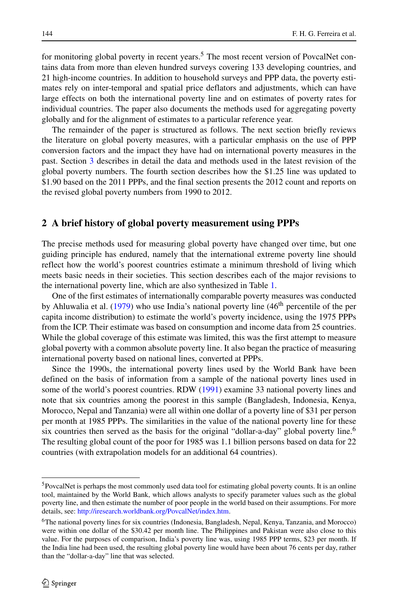for monitoring global poverty in recent years.<sup>[5](#page-3-0)</sup> The most recent version of PovcalNet contains data from more than eleven hundred surveys covering 133 developing countries, and 21 high-income countries. In addition to household surveys and PPP data, the poverty estimates rely on inter-temporal and spatial price deflators and adjustments, which can have large effects on both the international poverty line and on estimates of poverty rates for individual countries. The paper also documents the methods used for aggregating poverty globally and for the alignment of estimates to a particular reference year.

The remainder of the paper is structured as follows. The next section briefly reviews the literature on global poverty measures, with a particular emphasis on the use of PPP conversion factors and the impact they have had on international poverty measures in the past. Section [3](#page-7-0) describes in detail the data and methods used in the latest revision of the global poverty numbers. The fourth section describes how the \$1.25 line was updated to \$1.90 based on the 2011 PPPs, and the final section presents the 2012 count and reports on the revised global poverty numbers from 1990 to 2012.

#### **2 A brief history of global poverty measurement using PPPs**

The precise methods used for measuring global poverty have changed over time, but one guiding principle has endured, namely that the international extreme poverty line should reflect how the world's poorest countries estimate a minimum threshold of living which meets basic needs in their societies. This section describes each of the major revisions to the international poverty line, which are also synthesized in Table [1.](#page-4-0)

One of the first estimates of internationally comparable poverty measures was conducted by Ahluwalia et al.  $(1979)$  who use India's national poverty line  $(46<sup>th</sup>$  percentile of the per capita income distribution) to estimate the world's poverty incidence, using the 1975 PPPs from the ICP. Their estimate was based on consumption and income data from 25 countries. While the global coverage of this estimate was limited, this was the first attempt to measure global poverty with a common absolute poverty line. It also began the practice of measuring international poverty based on national lines, converted at PPPs.

Since the 1990s, the international poverty lines used by the World Bank have been defined on the basis of information from a sample of the national poverty lines used in some of the world's poorest countries. RDW [\(1991\)](#page-30-1) examine 33 national poverty lines and note that six countries among the poorest in this sample (Bangladesh, Indonesia, Kenya, Morocco, Nepal and Tanzania) were all within one dollar of a poverty line of \$31 per person per month at 1985 PPPs. The similarities in the value of the national poverty line for these six countries then served as the basis for the original "dollar-a-day" global poverty line.<sup>[6](#page-3-1)</sup> The resulting global count of the poor for 1985 was 1.1 billion persons based on data for 22 countries (with extrapolation models for an additional 64 countries).

<span id="page-3-0"></span><sup>5</sup>PovcalNet is perhaps the most commonly used data tool for estimating global poverty counts. It is an online tool, maintained by the World Bank, which allows analysts to specify parameter values such as the global poverty line, and then estimate the number of poor people in the world based on their assumptions. For more details, see: [http://iresearch.worldbank.org/PovcalNet/index.htm.](http://iresearch.worldbank.org/PovcalNet/index.htm)

<span id="page-3-1"></span><sup>6</sup>The national poverty lines for six countries (Indonesia, Bangladesh, Nepal, Kenya, Tanzania, and Morocco) were within one dollar of the \$30.42 per month line. The Philippines and Pakistan were also close to this value. For the purposes of comparison, India's poverty line was, using 1985 PPP terms, \$23 per month. If the India line had been used, the resulting global poverty line would have been about 76 cents per day, rather than the "dollar-a-day" line that was selected.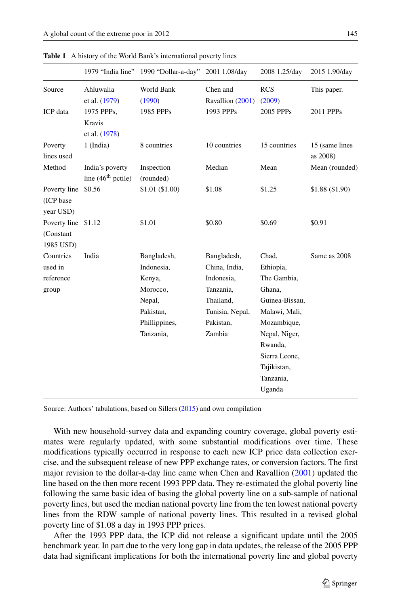|                                               |                                         | 1979 "India line" 1990 "Dollar-a-day"                                                                | 2001 1.08/day                                                                                                  | 2008 1.25/day                                                                                                                                                                    | 2015 1.90/day               |
|-----------------------------------------------|-----------------------------------------|------------------------------------------------------------------------------------------------------|----------------------------------------------------------------------------------------------------------------|----------------------------------------------------------------------------------------------------------------------------------------------------------------------------------|-----------------------------|
| Source                                        | Ahluwalia<br>et al. (1979)              | World Bank<br>(1990)                                                                                 | Chen and<br>Ravallion (2001)                                                                                   | <b>RCS</b><br>(2009)                                                                                                                                                             | This paper.                 |
| ICP data                                      | 1975 PPPs,<br>Kravis<br>et al. (1978)   | 1985 PPPs                                                                                            | 1993 PPPs                                                                                                      | 2005 PPPs                                                                                                                                                                        | 2011 PPPs                   |
| Poverty<br>lines used                         | $1$ (India)                             | 8 countries                                                                                          | 10 countries                                                                                                   | 15 countries                                                                                                                                                                     | 15 (same lines)<br>as 2008) |
| Method                                        | India's poverty<br>line $(46th$ pctile) | Inspection<br>(rounded)                                                                              | Median                                                                                                         | Mean                                                                                                                                                                             | Mean (rounded)              |
| Poverty line<br>(ICP base<br>year USD)        | \$0.56                                  | \$1.01 (\$1.00)                                                                                      | \$1.08                                                                                                         | \$1.25                                                                                                                                                                           | \$1.88 (\$1.90)             |
| Poverty line \$1.12<br>(Constant<br>1985 USD) |                                         | \$1.01                                                                                               | \$0.80                                                                                                         | \$0.69                                                                                                                                                                           | \$0.91                      |
| Countries<br>used in<br>reference<br>group    | India                                   | Bangladesh,<br>Indonesia,<br>Kenya,<br>Morocco,<br>Nepal,<br>Pakistan,<br>Phillippines,<br>Tanzania, | Bangladesh,<br>China, India,<br>Indonesia,<br>Tanzania,<br>Thailand,<br>Tunisia, Nepal,<br>Pakistan,<br>Zambia | Chad,<br>Ethiopia,<br>The Gambia,<br>Ghana,<br>Guinea-Bissau,<br>Malawi, Mali,<br>Mozambique,<br>Nepal, Niger,<br>Rwanda,<br>Sierra Leone,<br>Tajikistan,<br>Tanzania,<br>Uganda | Same as 2008                |

<span id="page-4-0"></span>**Table 1** A history of the World Bank's international poverty lines

Source: Authors' tabulations, based on Sillers [\(2015\)](#page-31-1) and own compilation

With new household-survey data and expanding country coverage, global poverty estimates were regularly updated, with some substantial modifications over time. These modifications typically occurred in response to each new ICP price data collection exercise, and the subsequent release of new PPP exchange rates, or conversion factors. The first major revision to the dollar-a-day line came when Chen and Ravallion [\(2001\)](#page-29-0) updated the line based on the then more recent 1993 PPP data. They re-estimated the global poverty line following the same basic idea of basing the global poverty line on a sub-sample of national poverty lines, but used the median national poverty line from the ten lowest national poverty lines from the RDW sample of national poverty lines. This resulted in a revised global poverty line of \$1.08 a day in 1993 PPP prices.

After the 1993 PPP data, the ICP did not release a significant update until the 2005 benchmark year. In part due to the very long gap in data updates, the release of the 2005 PPP data had significant implications for both the international poverty line and global poverty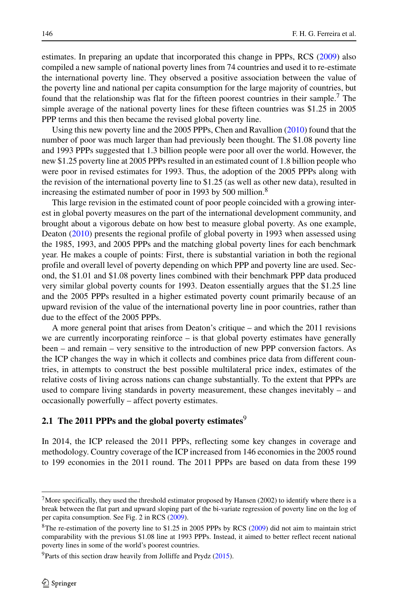estimates. In preparing an update that incorporated this change in PPPs, RCS [\(2009\)](#page-30-0) also compiled a new sample of national poverty lines from 74 countries and used it to re-estimate the international poverty line. They observed a positive association between the value of the poverty line and national per capita consumption for the large majority of countries, but found that the relationship was flat for the fifteen poorest countries in their sample[.7](#page-5-0) The simple average of the national poverty lines for these fifteen countries was \$1.25 in 2005 PPP terms and this then became the revised global poverty line.

Using this new poverty line and the 2005 PPPs, Chen and Ravallion [\(2010\)](#page-29-1) found that the number of poor was much larger than had previously been thought. The \$1.08 poverty line and 1993 PPPs suggested that 1.3 billion people were poor all over the world. However, the new \$1.25 poverty line at 2005 PPPs resulted in an estimated count of 1.8 billion people who were poor in revised estimates for 1993. Thus, the adoption of the 2005 PPPs along with the revision of the international poverty line to \$1.25 (as well as other new data), resulted in increasing the estimated number of poor in 1993 by 500 million.<sup>[8](#page-5-1)</sup>

This large revision in the estimated count of poor people coincided with a growing interest in global poverty measures on the part of the international development community, and brought about a vigorous debate on how best to measure global poverty. As one example, Deaton [\(2010\)](#page-29-2) presents the regional profile of global poverty in 1993 when assessed using the 1985, 1993, and 2005 PPPs and the matching global poverty lines for each benchmark year. He makes a couple of points: First, there is substantial variation in both the regional profile and overall level of poverty depending on which PPP and poverty line are used. Second, the \$1.01 and \$1.08 poverty lines combined with their benchmark PPP data produced very similar global poverty counts for 1993. Deaton essentially argues that the \$1.25 line and the 2005 PPPs resulted in a higher estimated poverty count primarily because of an upward revision of the value of the international poverty line in poor countries, rather than due to the effect of the 2005 PPPs.

A more general point that arises from Deaton's critique – and which the 2011 revisions we are currently incorporating reinforce – is that global poverty estimates have generally been – and remain – very sensitive to the introduction of new PPP conversion factors. As the ICP changes the way in which it collects and combines price data from different countries, in attempts to construct the best possible multilateral price index, estimates of the relative costs of living across nations can change substantially. To the extent that PPPs are used to compare living standards in poverty measurement, these changes inevitably – and occasionally powerfully – affect poverty estimates.

## **2.1 The 2011 PPPs and the global poverty estimates**[9](#page-5-2)

In 2014, the ICP released the 2011 PPPs, reflecting some key changes in coverage and methodology. Country coverage of the ICP increased from 146 economies in the 2005 round to 199 economies in the 2011 round. The 2011 PPPs are based on data from these 199

<span id="page-5-0"></span><sup>&</sup>lt;sup>7</sup>More specifically, they used the threshold estimator proposed by Hansen (2002) to identify where there is a break between the flat part and upward sloping part of the bi-variate regression of poverty line on the log of per capita consumption. See Fig. 2 in RCS [\(2009\)](#page-30-0).

<span id="page-5-1"></span><sup>&</sup>lt;sup>8</sup>The re-estimation of the poverty line to \$1.25 in 2005 PPPs by RCS [\(2009\)](#page-30-0) did not aim to maintain strict comparability with the previous \$1.08 line at 1993 PPPs. Instead, it aimed to better reflect recent national poverty lines in some of the world's poorest countries.

<span id="page-5-2"></span> $9$ Parts of this section draw heavily from Jolliffe and Prydz [\(2015\)](#page-30-4).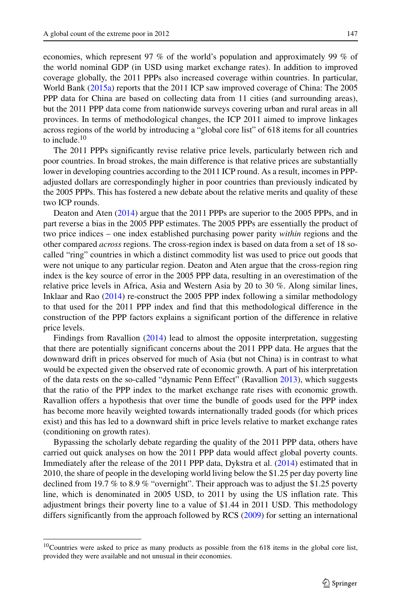economies, which represent 97 % of the world's population and approximately 99 % of the world nominal GDP (in USD using market exchange rates). In addition to improved coverage globally, the 2011 PPPs also increased coverage within countries. In particular, World Bank [\(2015a\)](#page-31-2) reports that the 2011 ICP saw improved coverage of China: The 2005 PPP data for China are based on collecting data from 11 cities (and surrounding areas), but the 2011 PPP data come from nationwide surveys covering urban and rural areas in all provinces. In terms of methodological changes, the ICP 2011 aimed to improve linkages across regions of the world by introducing a "global core list" of 618 items for all countries to include.[10](#page-6-0)

The 2011 PPPs significantly revise relative price levels, particularly between rich and poor countries. In broad strokes, the main difference is that relative prices are substantially lower in developing countries according to the 2011 ICP round. As a result, incomes in PPPadjusted dollars are correspondingly higher in poor countries than previously indicated by the 2005 PPPs. This has fostered a new debate about the relative merits and quality of these two ICP rounds.

Deaton and Aten [\(2014\)](#page-30-5) argue that the 2011 PPPs are superior to the 2005 PPPs, and in part reverse a bias in the 2005 PPP estimates. The 2005 PPPs are essentially the product of two price indices – one index established purchasing power parity *within* regions and the other compared *across* regions. The cross-region index is based on data from a set of 18 socalled "ring" countries in which a distinct commodity list was used to price out goods that were not unique to any particular region. Deaton and Aten argue that the cross-region ring index is the key source of error in the 2005 PPP data, resulting in an overestimation of the relative price levels in Africa, Asia and Western Asia by 20 to 30 %. Along similar lines, Inklaar and Rao [\(2014\)](#page-30-6) re-construct the 2005 PPP index following a similar methodology to that used for the 2011 PPP index and find that this methodological difference in the construction of the PPP factors explains a significant portion of the difference in relative price levels.

Findings from Ravallion [\(2014\)](#page-30-7) lead to almost the opposite interpretation, suggesting that there are potentially significant concerns about the 2011 PPP data. He argues that the downward drift in prices observed for much of Asia (but not China) is in contrast to what would be expected given the observed rate of economic growth. A part of his interpretation of the data rests on the so-called "dynamic Penn Effect" (Ravallion [2013\)](#page-30-8), which suggests that the ratio of the PPP index to the market exchange rate rises with economic growth. Ravallion offers a hypothesis that over time the bundle of goods used for the PPP index has become more heavily weighted towards internationally traded goods (for which prices exist) and this has led to a downward shift in price levels relative to market exchange rates (conditioning on growth rates).

Bypassing the scholarly debate regarding the quality of the 2011 PPP data, others have carried out quick analyses on how the 2011 PPP data would affect global poverty counts. Immediately after the release of the 2011 PPP data, Dykstra et al. [\(2014\)](#page-30-9) estimated that in 2010, the share of people in the developing world living below the \$1.25 per day poverty line declined from 19.7 % to 8.9 % "overnight". Their approach was to adjust the \$1.25 poverty line, which is denominated in 2005 USD, to 2011 by using the US inflation rate. This adjustment brings their poverty line to a value of \$1.44 in 2011 USD. This methodology differs significantly from the approach followed by RCS [\(2009\)](#page-30-0) for setting an international

<span id="page-6-0"></span><sup>&</sup>lt;sup>10</sup>Countries were asked to price as many products as possible from the 618 items in the global core list, provided they were available and not unusual in their economies.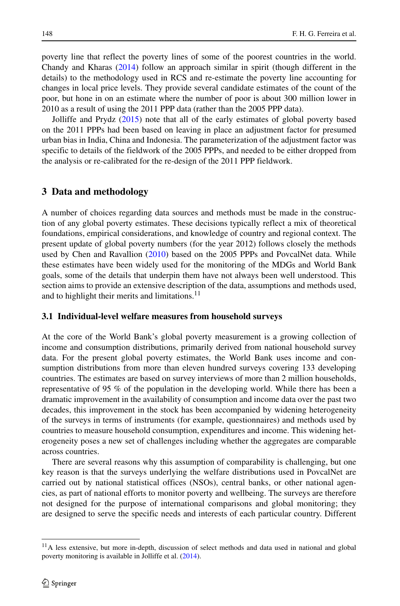poverty line that reflect the poverty lines of some of the poorest countries in the world. Chandy and Kharas [\(2014\)](#page-29-4) follow an approach similar in spirit (though different in the details) to the methodology used in RCS and re-estimate the poverty line accounting for changes in local price levels. They provide several candidate estimates of the count of the poor, but hone in on an estimate where the number of poor is about 300 million lower in 2010 as a result of using the 2011 PPP data (rather than the 2005 PPP data).

Jolliffe and Prydz [\(2015\)](#page-30-4) note that all of the early estimates of global poverty based on the 2011 PPPs had been based on leaving in place an adjustment factor for presumed urban bias in India, China and Indonesia. The parameterization of the adjustment factor was specific to details of the fieldwork of the 2005 PPPs, and needed to be either dropped from the analysis or re-calibrated for the re-design of the 2011 PPP fieldwork.

### <span id="page-7-0"></span>**3 Data and methodology**

A number of choices regarding data sources and methods must be made in the construction of any global poverty estimates. These decisions typically reflect a mix of theoretical foundations, empirical considerations, and knowledge of country and regional context. The present update of global poverty numbers (for the year 2012) follows closely the methods used by Chen and Ravallion [\(2010\)](#page-29-1) based on the 2005 PPPs and PovcalNet data. While these estimates have been widely used for the monitoring of the MDGs and World Bank goals, some of the details that underpin them have not always been well understood. This section aims to provide an extensive description of the data, assumptions and methods used, and to highlight their merits and limitations.<sup>[11](#page-7-1)</sup>

#### **3.1 Individual-level welfare measures from household surveys**

At the core of the World Bank's global poverty measurement is a growing collection of income and consumption distributions, primarily derived from national household survey data. For the present global poverty estimates, the World Bank uses income and consumption distributions from more than eleven hundred surveys covering 133 developing countries. The estimates are based on survey interviews of more than 2 million households, representative of 95 % of the population in the developing world. While there has been a dramatic improvement in the availability of consumption and income data over the past two decades, this improvement in the stock has been accompanied by widening heterogeneity of the surveys in terms of instruments (for example, questionnaires) and methods used by countries to measure household consumption, expenditures and income. This widening heterogeneity poses a new set of challenges including whether the aggregates are comparable across countries.

There are several reasons why this assumption of comparability is challenging, but one key reason is that the surveys underlying the welfare distributions used in PovcalNet are carried out by national statistical offices (NSOs), central banks, or other national agencies, as part of national efforts to monitor poverty and wellbeing. The surveys are therefore not designed for the purpose of international comparisons and global monitoring; they are designed to serve the specific needs and interests of each particular country. Different

<span id="page-7-1"></span><sup>&</sup>lt;sup>11</sup>A less extensive, but more in-depth, discussion of select methods and data used in national and global poverty monitoring is available in Jolliffe et al. [\(2014\)](#page-30-10).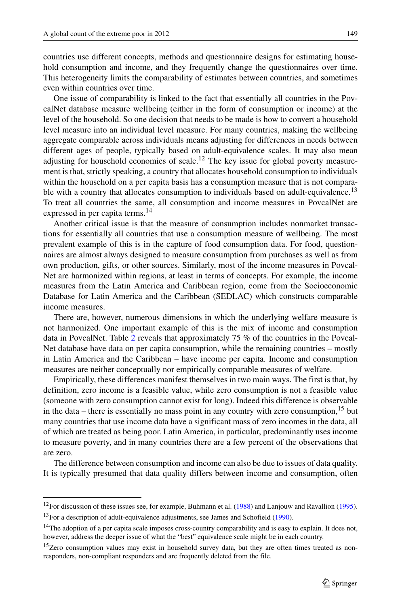countries use different concepts, methods and questionnaire designs for estimating household consumption and income, and they frequently change the questionnaires over time. This heterogeneity limits the comparability of estimates between countries, and sometimes even within countries over time.

One issue of comparability is linked to the fact that essentially all countries in the PovcalNet database measure wellbeing (either in the form of consumption or income) at the level of the household. So one decision that needs to be made is how to convert a household level measure into an individual level measure. For many countries, making the wellbeing aggregate comparable across individuals means adjusting for differences in needs between different ages of people, typically based on adult-equivalence scales. It may also mean adjusting for household economies of scale.<sup>[12](#page-8-0)</sup> The key issue for global poverty measurement is that, strictly speaking, a country that allocates household consumption to individuals within the household on a per capita basis has a consumption measure that is not compara-ble with a country that allocates consumption to individuals based on adult-equivalence.<sup>[13](#page-8-1)</sup> To treat all countries the same, all consumption and income measures in PovcalNet are expressed in per capita terms.<sup>[14](#page-8-2)</sup>

Another critical issue is that the measure of consumption includes nonmarket transactions for essentially all countries that use a consumption measure of wellbeing. The most prevalent example of this is in the capture of food consumption data. For food, questionnaires are almost always designed to measure consumption from purchases as well as from own production, gifts, or other sources. Similarly, most of the income measures in Povcal-Net are harmonized within regions, at least in terms of concepts. For example, the income measures from the Latin America and Caribbean region, come from the Socioeconomic Database for Latin America and the Caribbean (SEDLAC) which constructs comparable income measures.

There are, however, numerous dimensions in which the underlying welfare measure is not harmonized. One important example of this is the mix of income and consumption data in PovcalNet. Table [2](#page-9-0) reveals that approximately 75 % of the countries in the Povcal-Net database have data on per capita consumption, while the remaining countries – mostly in Latin America and the Caribbean – have income per capita. Income and consumption measures are neither conceptually nor empirically comparable measures of welfare.

Empirically, these differences manifest themselves in two main ways. The first is that, by definition, zero income is a feasible value, while zero consumption is not a feasible value (someone with zero consumption cannot exist for long). Indeed this difference is observable in the data – there is essentially no mass point in any country with zero consumption,<sup>[15](#page-8-3)</sup> but many countries that use income data have a significant mass of zero incomes in the data, all of which are treated as being poor. Latin America, in particular, predominantly uses income to measure poverty, and in many countries there are a few percent of the observations that are zero.

The difference between consumption and income can also be due to issues of data quality. It is typically presumed that data quality differs between income and consumption, often

<span id="page-8-0"></span><sup>&</sup>lt;sup>12</sup>For discussion of these issues see, for example, Buhmann et al.  $(1988)$  and Lanjouw and Ravallion [\(1995\)](#page-30-11).  $13$  For a description of adult-equivalence adjustments, see James and Schofield [\(1990\)](#page-30-12).

<span id="page-8-2"></span><span id="page-8-1"></span><sup>&</sup>lt;sup>14</sup>The adoption of a per capita scale imposes cross-country comparability and is easy to explain. It does not, however, address the deeper issue of what the "best" equivalence scale might be in each country.

<span id="page-8-3"></span><sup>&</sup>lt;sup>15</sup>Zero consumption values may exist in household survey data, but they are often times treated as nonresponders, non-compliant responders and are frequently deleted from the file.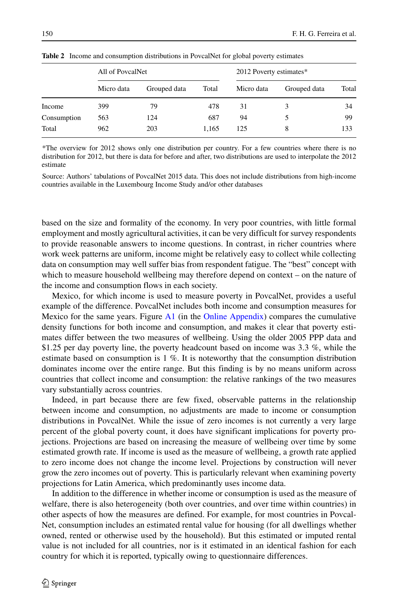|             | All of PovcalNet |              |       | 2012 Poverty estimates* |              |       |  |
|-------------|------------------|--------------|-------|-------------------------|--------------|-------|--|
|             | Micro data       | Grouped data | Total | Micro data              | Grouped data | Total |  |
| Income      | 399              | 79           | 478   | 31                      |              | 34    |  |
| Consumption | 563              | 124          | 687   | 94                      |              | 99    |  |
| Total       | 962              | 203          | 1,165 | 125                     | 8            | 133   |  |

<span id="page-9-0"></span>**Table 2** Income and consumption distributions in PovcalNet for global poverty estimates

\*The overview for 2012 shows only one distribution per country. For a few countries where there is no distribution for 2012, but there is data for before and after, two distributions are used to interpolate the 2012 estimate

Source: Authors' tabulations of PovcalNet 2015 data. This does not include distributions from high-income countries available in the Luxembourg Income Study and/or other databases

based on the size and formality of the economy. In very poor countries, with little formal employment and mostly agricultural activities, it can be very difficult for survey respondents to provide reasonable answers to income questions. In contrast, in richer countries where work week patterns are uniform, income might be relatively easy to collect while collecting data on consumption may well suffer bias from respondent fatigue. The "best" concept with which to measure household wellbeing may therefore depend on context – on the nature of the income and consumption flows in each society.

Mexico, for which income is used to measure poverty in PovcalNet, provides a useful example of the difference. PovcalNet includes both income and consumption measures for Mexico for the same years. Figure A1 (in the Online Appendix) compares the cumulative density functions for both income and consumption, and makes it clear that poverty estimates differ between the two measures of wellbeing. Using the older 2005 PPP data and \$1.25 per day poverty line, the poverty headcount based on income was 3.3 %, while the estimate based on consumption is 1 %. It is noteworthy that the consumption distribution dominates income over the entire range. But this finding is by no means uniform across countries that collect income and consumption: the relative rankings of the two measures vary substantially across countries.

Indeed, in part because there are few fixed, observable patterns in the relationship between income and consumption, no adjustments are made to income or consumption distributions in PovcalNet. While the issue of zero incomes is not currently a very large percent of the global poverty count, it does have significant implications for poverty projections. Projections are based on increasing the measure of wellbeing over time by some estimated growth rate. If income is used as the measure of wellbeing, a growth rate applied to zero income does not change the income level. Projections by construction will never grow the zero incomes out of poverty. This is particularly relevant when examining poverty projections for Latin America, which predominantly uses income data.

In addition to the difference in whether income or consumption is used as the measure of welfare, there is also heterogeneity (both over countries, and over time within countries) in other aspects of how the measures are defined. For example, for most countries in Povcal-Net, consumption includes an estimated rental value for housing (for all dwellings whether owned, rented or otherwise used by the household). But this estimated or imputed rental value is not included for all countries, nor is it estimated in an identical fashion for each country for which it is reported, typically owing to questionnaire differences.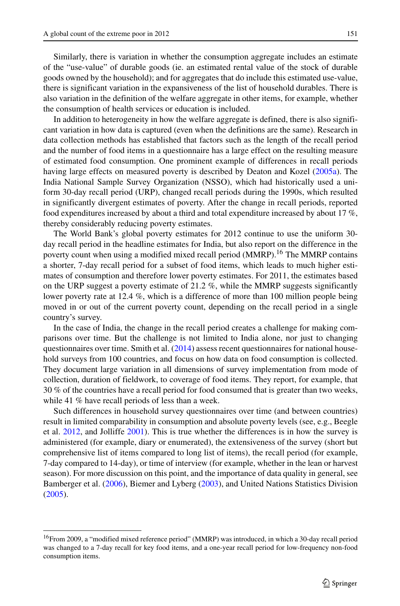Similarly, there is variation in whether the consumption aggregate includes an estimate of the "use-value" of durable goods (ie. an estimated rental value of the stock of durable goods owned by the household); and for aggregates that do include this estimated use-value, there is significant variation in the expansiveness of the list of household durables. There is also variation in the definition of the welfare aggregate in other items, for example, whether the consumption of health services or education is included.

In addition to heterogeneity in how the welfare aggregate is defined, there is also significant variation in how data is captured (even when the definitions are the same). Research in data collection methods has established that factors such as the length of the recall period and the number of food items in a questionnaire has a large effect on the resulting measure of estimated food consumption. One prominent example of differences in recall periods having large effects on measured poverty is described by Deaton and Kozel [\(2005a\)](#page-30-13). The India National Sample Survey Organization (NSSO), which had historically used a uniform 30-day recall period (URP), changed recall periods during the 1990s, which resulted in significantly divergent estimates of poverty. After the change in recall periods, reported food expenditures increased by about a third and total expenditure increased by about 17 %, thereby considerably reducing poverty estimates.

The World Bank's global poverty estimates for 2012 continue to use the uniform 30 day recall period in the headline estimates for India, but also report on the difference in the poverty count when using a modified mixed recall period (MMRP).<sup>[16](#page-10-0)</sup> The MMRP contains a shorter, 7-day recall period for a subset of food items, which leads to much higher estimates of consumption and therefore lower poverty estimates. For 2011, the estimates based on the URP suggest a poverty estimate of 21.2  $\%$ , while the MMRP suggests significantly lower poverty rate at 12.4 %, which is a difference of more than 100 million people being moved in or out of the current poverty count, depending on the recall period in a single country's survey.

In the case of India, the change in the recall period creates a challenge for making comparisons over time. But the challenge is not limited to India alone, nor just to changing questionnaires over time. Smith et al.  $(2014)$  assess recent questionnaires for national household surveys from 100 countries, and focus on how data on food consumption is collected. They document large variation in all dimensions of survey implementation from mode of collection, duration of fieldwork, to coverage of food items. They report, for example, that 30 % of the countries have a recall period for food consumed that is greater than two weeks, while 41 % have recall periods of less than a week.

Such differences in household survey questionnaires over time (and between countries) result in limited comparability in consumption and absolute poverty levels (see, e.g., Beegle et al. [2012,](#page-29-6) and Jolliffe [2001\)](#page-30-14). This is true whether the differences is in how the survey is administered (for example, diary or enumerated), the extensiveness of the survey (short but comprehensive list of items compared to long list of items), the recall period (for example, 7-day compared to 14-day), or time of interview (for example, whether in the lean or harvest season). For more discussion on this point, and the importance of data quality in general, see Bamberger et al. [\(2006\)](#page-29-7), Biemer and Lyberg [\(2003\)](#page-29-8), and United Nations Statistics Division [\(2005\)](#page-31-4).

<span id="page-10-0"></span><sup>16</sup>From 2009, a "modified mixed reference period" (MMRP) was introduced, in which a 30-day recall period was changed to a 7-day recall for key food items, and a one-year recall period for low-frequency non-food consumption items.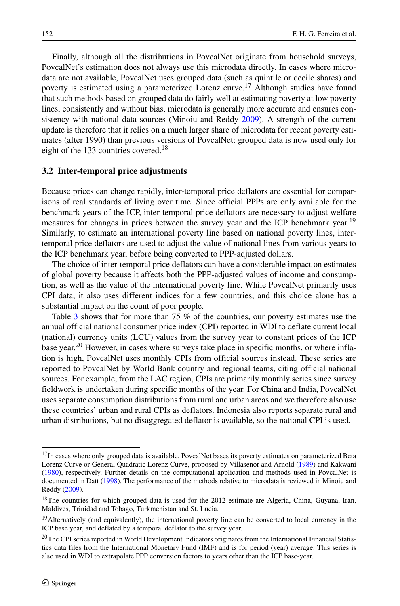Finally, although all the distributions in PovcalNet originate from household surveys, PovcalNet's estimation does not always use this microdata directly. In cases where microdata are not available, PovcalNet uses grouped data (such as quintile or decile shares) and poverty is estimated using a parameterized Lorenz curve.<sup>[17](#page-11-0)</sup> Although studies have found that such methods based on grouped data do fairly well at estimating poverty at low poverty lines, consistently and without bias, microdata is generally more accurate and ensures consistency with national data sources (Minoiu and Reddy [2009\)](#page-30-15). A strength of the current update is therefore that it relies on a much larger share of microdata for recent poverty estimates (after 1990) than previous versions of PovcalNet: grouped data is now used only for eight of the 133 countries covered.<sup>18</sup>

#### **3.2 Inter-temporal price adjustments**

Because prices can change rapidly, inter-temporal price deflators are essential for comparisons of real standards of living over time. Since official PPPs are only available for the benchmark years of the ICP, inter-temporal price deflators are necessary to adjust welfare measures for changes in prices between the survey year and the ICP benchmark year.<sup>[19](#page-11-2)</sup> Similarly, to estimate an international poverty line based on national poverty lines, intertemporal price deflators are used to adjust the value of national lines from various years to the ICP benchmark year, before being converted to PPP-adjusted dollars.

The choice of inter-temporal price deflators can have a considerable impact on estimates of global poverty because it affects both the PPP-adjusted values of income and consumption, as well as the value of the international poverty line. While PovcalNet primarily uses CPI data, it also uses different indices for a few countries, and this choice alone has a substantial impact on the count of poor people.

Table [3](#page-12-0) shows that for more than 75 % of the countries, our poverty estimates use the annual official national consumer price index (CPI) reported in WDI to deflate current local (national) currency units (LCU) values from the survey year to constant prices of the ICP base year.<sup>[20](#page-11-3)</sup> However, in cases where surveys take place in specific months, or where inflation is high, PovcalNet uses monthly CPIs from official sources instead. These series are reported to PovcalNet by World Bank country and regional teams, citing official national sources. For example, from the LAC region, CPIs are primarily monthly series since survey fieldwork is undertaken during specific months of the year. For China and India, PovcalNet uses separate consumption distributions from rural and urban areas and we therefore also use these countries' urban and rural CPIs as deflators. Indonesia also reports separate rural and urban distributions, but no disaggregated deflator is available, so the national CPI is used.

<span id="page-11-0"></span><sup>&</sup>lt;sup>17</sup>In cases where only grouped data is available, PovcalNet bases its poverty estimates on parameterized Beta Lorenz Curve or General Quadratic Lorenz Curve, proposed by Villasenor and Arnold [\(1989\)](#page-31-5) and Kakwani [\(1980\)](#page-30-16), respectively. Further details on the computational application and methods used in PovcalNet is documented in Datt [\(1998\)](#page-29-9). The performance of the methods relative to microdata is reviewed in Minoiu and Reddy [\(2009\)](#page-30-15).

<span id="page-11-1"></span><sup>&</sup>lt;sup>18</sup>The countries for which grouped data is used for the 2012 estimate are Algeria, China, Guyana, Iran, Maldives, Trinidad and Tobago, Turkmenistan and St. Lucia.

<span id="page-11-2"></span><sup>&</sup>lt;sup>19</sup>Alternatively (and equivalently), the international poverty line can be converted to local currency in the ICP base year, and deflated by a temporal deflator to the survey year.

<span id="page-11-3"></span><sup>&</sup>lt;sup>20</sup>The CPI series reported in World Development Indicators originates from the International Financial Statistics data files from the International Monetary Fund (IMF) and is for period (year) average. This series is also used in WDI to extrapolate PPP conversion factors to years other than the ICP base-year.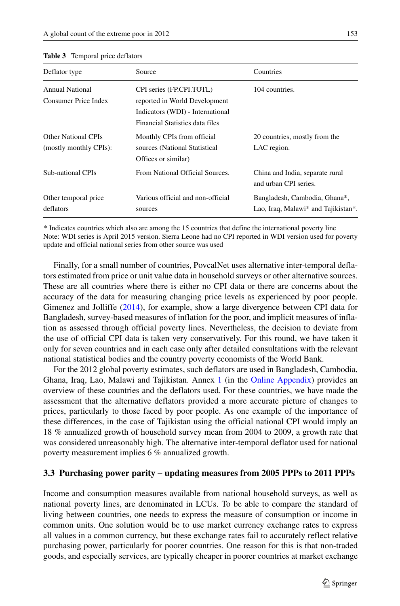| Deflator type                                        | Source                                                                                                                           | Countries                                                            |
|------------------------------------------------------|----------------------------------------------------------------------------------------------------------------------------------|----------------------------------------------------------------------|
| Annual National<br>Consumer Price Index              | CPI series (FP.CPI.TOTL)<br>reported in World Development<br>Indicators (WDI) - International<br>Financial Statistics data files | 104 countries.                                                       |
| <b>Other National CPIs</b><br>(mostly monthly CPIs): | Monthly CPIs from official<br>sources (National Statistical<br>Offices or similar)                                               | 20 countries, mostly from the<br>LAC region.                         |
| Sub-national CPIs                                    | From National Official Sources.                                                                                                  | China and India, separate rural<br>and urban CPI series.             |
| Other temporal price<br>deflators                    | Various official and non-official<br>sources                                                                                     | Bangladesh, Cambodia, Ghana*,<br>Lao, Iraq, Malawi* and Tajikistan*. |

#### <span id="page-12-0"></span>**Table 3** Temporal price deflators

\* Indicates countries which also are among the 15 countries that define the international poverty line Note: WDI series is April 2015 version. Sierra Leone had no CPI reported in WDI version used for poverty update and official national series from other source was used

Finally, for a small number of countries, PovcalNet uses alternative inter-temporal deflators estimated from price or unit value data in household surveys or other alternative sources. These are all countries where there is either no CPI data or there are concerns about the accuracy of the data for measuring changing price levels as experienced by poor people. Gimenez and Jolliffe [\(2014\)](#page-30-17), for example, show a large divergence between CPI data for Bangladesh, survey-based measures of inflation for the poor, and implicit measures of inflation as assessed through official poverty lines. Nevertheless, the decision to deviate from the use of official CPI data is taken very conservatively. For this round, we have taken it only for seven countries and in each case only after detailed consultations with the relevant national statistical bodies and the country poverty economists of the World Bank.

For the 2012 global poverty estimates, such deflators are used in Bangladesh, Cambodia, Ghana, Iraq, Lao, Malawi and Tajikistan. Annex 1 (in the Online Appendix) provides an overview of these countries and the deflators used. For these countries, we have made the assessment that the alternative deflators provided a more accurate picture of changes to prices, particularly to those faced by poor people. As one example of the importance of these differences, in the case of Tajikistan using the official national CPI would imply an 18 % annualized growth of household survey mean from 2004 to 2009, a growth rate that was considered unreasonably high. The alternative inter-temporal deflator used for national poverty measurement implies 6 % annualized growth.

#### **3.3 Purchasing power parity – updating measures from 2005 PPPs to 2011 PPPs**

Income and consumption measures available from national household surveys, as well as national poverty lines, are denominated in LCUs. To be able to compare the standard of living between countries, one needs to express the measure of consumption or income in common units. One solution would be to use market currency exchange rates to express all values in a common currency, but these exchange rates fail to accurately reflect relative purchasing power, particularly for poorer countries. One reason for this is that non-traded goods, and especially services, are typically cheaper in poorer countries at market exchange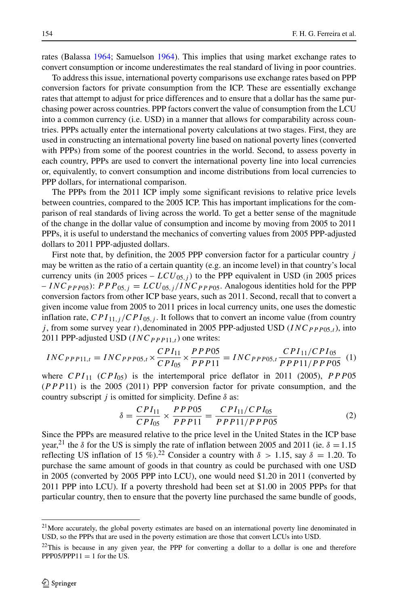rates (Balassa [1964;](#page-29-10) Samuelson [1964\)](#page-31-6). This implies that using market exchange rates to convert consumption or income underestimates the real standard of living in poor countries.

To address this issue, international poverty comparisons use exchange rates based on PPP conversion factors for private consumption from the ICP. These are essentially exchange rates that attempt to adjust for price differences and to ensure that a dollar has the same purchasing power across countries. PPP factors convert the value of consumption from the LCU into a common currency (i.e. USD) in a manner that allows for comparability across countries. PPPs actually enter the international poverty calculations at two stages. First, they are used in constructing an international poverty line based on national poverty lines (converted with PPPs) from some of the poorest countries in the world. Second, to assess poverty in each country, PPPs are used to convert the international poverty line into local currencies or, equivalently, to convert consumption and income distributions from local currencies to PPP dollars, for international comparison.

The PPPs from the 2011 ICP imply some significant revisions to relative price levels between countries, compared to the 2005 ICP. This has important implications for the comparison of real standards of living across the world. To get a better sense of the magnitude of the change in the dollar value of consumption and income by moving from 2005 to 2011 PPPs, it is useful to understand the mechanics of converting values from 2005 PPP-adjusted dollars to 2011 PPP-adjusted dollars.

First note that, by definition, the 2005 PPP conversion factor for a particular country *j* may be written as the ratio of a certain quantity (e.g. an income level) in that country's local currency units (in 2005 prices  $- LCU_{05,j}$ ) to the PPP equivalent in USD (in 2005 prices  $I = INCP_{PP}P_{05}$ :  $PPP_{05,j} = LCU_{05,j}/INCPP_{PP}$ . Analogous identities hold for the PPP conversion factors from other ICP base years, such as 2011. Second, recall that to convert a given income value from 2005 to 2011 prices in local currency units, one uses the domestic inflation rate,  $\frac{CPI_{11}}{CPI_{05}}$ , *i*. It follows that to convert an income value (from country *j* , from some survey year *t),*denominated in 2005 PPP-adjusted USD (*INCPPP*05*,t*), into 2011 PPP-adjusted USD  $(INC_{PPP11,t})$  one writes:

<span id="page-13-3"></span>
$$
INC_{PPP11,t} = INC_{PPP05,t} \times \frac{CPI_{11}}{CPI_{05}} \times \frac{PPP05}{PPP11} = INC_{PPP05,t} \frac{CPI_{11}/CPI_{05}}{PPP11/PPP05} (1)
$$

where  $CPI_{11}$  ( $CPI_{05}$ ) is the intertemporal price deflator in 2011 (2005),  $PPP05$ (*PPP*11*)* is the 2005 (2011) PPP conversion factor for private consumption, and the country subscript *j* is omitted for simplicity. Define *δ* as:

<span id="page-13-2"></span>
$$
\delta = \frac{CPI_{11}}{CPI_{05}} \times \frac{PPP05}{PPP11} = \frac{CPI_{11}/CPI_{05}}{PPP11/PPP05}
$$
 (2)

Since the PPPs are measured relative to the price level in the United States in the ICP base year,<sup>21</sup> the  $\delta$  for the US is simply the rate of inflation between 2005 and 2011 (ie.  $\delta = 1.15$ ) reflecting US inflation of 15 %).<sup>[22](#page-13-1)</sup> Consider a country with  $\delta > 1.15$ , say  $\delta = 1.20$ . To purchase the same amount of goods in that country as could be purchased with one USD in 2005 (converted by 2005 PPP into LCU), one would need \$1.20 in 2011 (converted by 2011 PPP into LCU). If a poverty threshold had been set at \$1.00 in 2005 PPPs for that particular country, then to ensure that the poverty line purchased the same bundle of goods,

<span id="page-13-0"></span> $21$ More accurately, the global poverty estimates are based on an international poverty line denominated in USD, so the PPPs that are used in the poverty estimation are those that convert LCUs into USD.

<span id="page-13-1"></span> $22$ This is because in any given year, the PPP for converting a dollar to a dollar is one and therefore  $PPP05/PPP11 = 1$  for the US.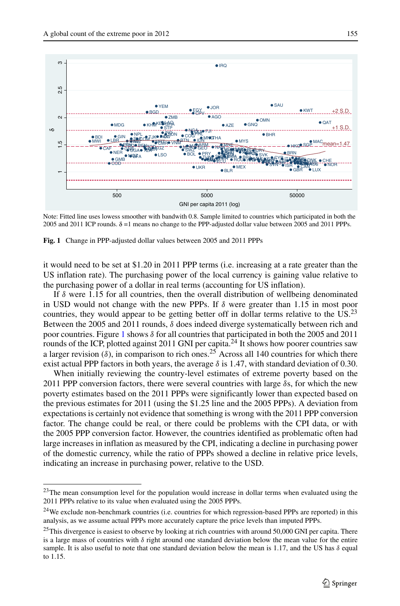<span id="page-14-1"></span>

Note: Fitted line uses lowess smoother with bandwith 0.8. Sample limited to countries which participated in both the 2005 and 2011 ICP rounds.  $\delta$  =1 means no change to the PPP-adjusted dollar value between 2005 and 2011 PPPs.

**Fig. 1** Change in PPP-adjusted dollar values between 2005 and 2011 PPPs

it would need to be set at \$1.20 in 2011 PPP terms (i.e. increasing at a rate greater than the US inflation rate). The purchasing power of the local currency is gaining value relative to the purchasing power of a dollar in real terms (accounting for US inflation).

If  $\delta$  were 1.15 for all countries, then the overall distribution of wellbeing denominated in USD would not change with the new PPPs. If *δ* were greater than 1.15 in most poor countries, they would appear to be getting better off in dollar terms relative to the US.<sup>23</sup> Between the 2005 and 2011 rounds,  $\delta$  does indeed diverge systematically between rich and poor countries. Figure [1](#page-14-1) shows *δ* for all countries that participated in both the 2005 and 2011 rounds of the ICP, plotted against 2011 GNI per capita.<sup>24</sup> It shows how poorer countries saw a larger revision ( $\delta$ ), in comparison to rich ones.<sup>25</sup> Across all 140 countries for which there exist actual PPP factors in both years, the average  $\delta$  is 1.47, with standard deviation of 0.30.

When initially reviewing the country-level estimates of extreme poverty based on the 2011 PPP conversion factors, there were several countries with large *δ*s, for which the new poverty estimates based on the 2011 PPPs were significantly lower than expected based on the previous estimates for 2011 (using the \$1.25 line and the 2005 PPPs). A deviation from expectations is certainly not evidence that something is wrong with the 2011 PPP conversion factor. The change could be real, or there could be problems with the CPI data, or with the 2005 PPP conversion factor. However, the countries identified as problematic often had large increases in inflation as measured by the CPI, indicating a decline in purchasing power of the domestic currency, while the ratio of PPPs showed a decline in relative price levels, indicating an increase in purchasing power, relative to the USD.

<span id="page-14-0"></span><sup>&</sup>lt;sup>23</sup>The mean consumption level for the population would increase in dollar terms when evaluated using the 2011 PPPs relative to its value when evaluated using the 2005 PPPs.

<span id="page-14-2"></span><sup>&</sup>lt;sup>24</sup>We exclude non-benchmark countries (i.e. countries for which regression-based PPPs are reported) in this analysis, as we assume actual PPPs more accurately capture the price levels than imputed PPPs.

<span id="page-14-3"></span><sup>&</sup>lt;sup>25</sup>This divergence is easiest to observe by looking at rich countries with around 50,000 GNI per capita. There is a large mass of countries with  $\delta$  right around one standard deviation below the mean value for the entire sample. It is also useful to note that one standard deviation below the mean is 1.17, and the US has  $\delta$  equal to 1.15.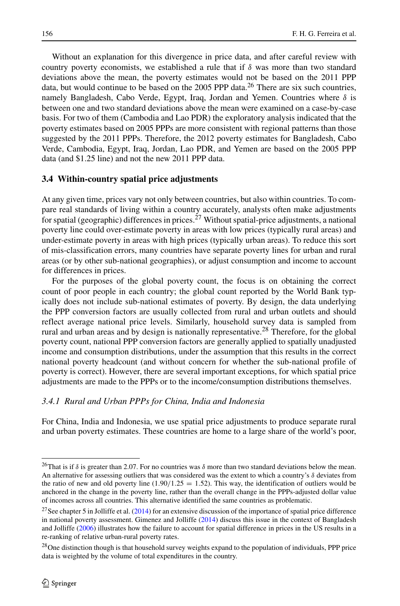Without an explanation for this divergence in price data, and after careful review with country poverty economists, we established a rule that if *δ* was more than two standard deviations above the mean, the poverty estimates would not be based on the 2011 PPP data, but would continue to be based on the 2005 PPP data.<sup>[26](#page-15-0)</sup> There are six such countries, namely Bangladesh, Cabo Verde, Egypt, Iraq, Jordan and Yemen. Countries where *δ* is between one and two standard deviations above the mean were examined on a case-by-case basis. For two of them (Cambodia and Lao PDR) the exploratory analysis indicated that the poverty estimates based on 2005 PPPs are more consistent with regional patterns than those suggested by the 2011 PPPs. Therefore, the 2012 poverty estimates for Bangladesh, Cabo Verde, Cambodia, Egypt, Iraq, Jordan, Lao PDR, and Yemen are based on the 2005 PPP data (and \$1.25 line) and not the new 2011 PPP data.

#### **3.4 Within-country spatial price adjustments**

At any given time, prices vary not only between countries, but also within countries. To compare real standards of living within a country accurately, analysts often make adjustments for spatial (geographic) differences in prices.<sup>[27](#page-15-1)</sup> Without spatial-price adjustments, a national poverty line could over-estimate poverty in areas with low prices (typically rural areas) and under-estimate poverty in areas with high prices (typically urban areas). To reduce this sort of mis-classification errors, many countries have separate poverty lines for urban and rural areas (or by other sub-national geographies), or adjust consumption and income to account for differences in prices.

For the purposes of the global poverty count, the focus is on obtaining the correct count of poor people in each country; the global count reported by the World Bank typically does not include sub-national estimates of poverty. By design, the data underlying the PPP conversion factors are usually collected from rural and urban outlets and should reflect average national price levels. Similarly, household survey data is sampled from rural and urban areas and by design is nationally representative.[28](#page-15-2) Therefore, for the global poverty count, national PPP conversion factors are generally applied to spatially unadjusted income and consumption distributions, under the assumption that this results in the correct national poverty headcount (and without concern for whether the sub-national profile of poverty is correct). However, there are several important exceptions, for which spatial price adjustments are made to the PPPs or to the income/consumption distributions themselves.

#### *3.4.1 Rural and Urban PPPs for China, India and Indonesia*

For China, India and Indonesia, we use spatial price adjustments to produce separate rural and urban poverty estimates. These countries are home to a large share of the world's poor,

<span id="page-15-0"></span><sup>&</sup>lt;sup>26</sup>That is if *δ* is greater than 2.07. For no countries was *δ* more than two standard deviations below the mean. An alternative for assessing outliers that was considered was the extent to which a country's *δ* deviates from the ratio of new and old poverty line  $(1.90/1.25 = 1.52)$ . This way, the identification of outliers would be anchored in the change in the poverty line, rather than the overall change in the PPPs-adjusted dollar value of incomes across all countries. This alternative identified the same countries as problematic.

<span id="page-15-1"></span><sup>&</sup>lt;sup>27</sup>See chapter 5 in Jolliffe et al.  $(2014)$  for an extensive discussion of the importance of spatial price difference in national poverty assessment. Gimenez and Jolliffe [\(2014\)](#page-30-17) discuss this issue in the context of Bangladesh and Jolliffe [\(2006\)](#page-30-18) illustrates how the failure to account for spatial difference in prices in the US results in a re-ranking of relative urban-rural poverty rates.

<span id="page-15-2"></span><sup>&</sup>lt;sup>28</sup>One distinction though is that household survey weights expand to the population of individuals, PPP price data is weighted by the volume of total expenditures in the country.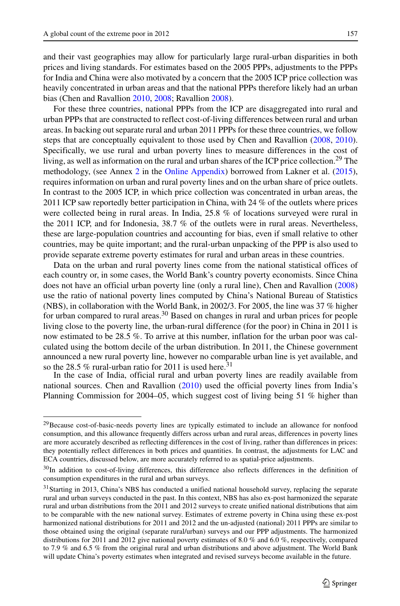and their vast geographies may allow for particularly large rural-urban disparities in both prices and living standards. For estimates based on the 2005 PPPs, adjustments to the PPPs for India and China were also motivated by a concern that the 2005 ICP price collection was heavily concentrated in urban areas and that the national PPPs therefore likely had an urban bias (Chen and Ravallion [2010,](#page-29-1) [2008;](#page-29-11) Ravallion [2008\)](#page-30-19).

For these three countries, national PPPs from the ICP are disaggregated into rural and urban PPPs that are constructed to reflect cost-of-living differences between rural and urban areas. In backing out separate rural and urban 2011 PPPs for these three countries, we follow steps that are conceptually equivalent to those used by Chen and Ravallion [\(2008,](#page-29-11) [2010\)](#page-29-1). Specifically, we use rural and urban poverty lines to measure differences in the cost of living, as well as information on the rural and urban shares of the ICP price collection.<sup>[29](#page-16-0)</sup> The methodology, (see Annex 2 in the Online Appendix) borrowed from Lakner et al. [\(2015\)](#page-30-20), requires information on urban and rural poverty lines and on the urban share of price outlets. In contrast to the 2005 ICP, in which price collection was concentrated in urban areas, the 2011 ICP saw reportedly better participation in China, with 24 % of the outlets where prices were collected being in rural areas. In India, 25.8 % of locations surveyed were rural in the 2011 ICP, and for Indonesia, 38.7 % of the outlets were in rural areas. Nevertheless, these are large-population countries and accounting for bias, even if small relative to other countries, may be quite important; and the rural-urban unpacking of the PPP is also used to provide separate extreme poverty estimates for rural and urban areas in these countries.

Data on the urban and rural poverty lines come from the national statistical offices of each country or, in some cases, the World Bank's country poverty economists. Since China does not have an official urban poverty line (only a rural line), Chen and Ravallion [\(2008\)](#page-29-11) use the ratio of national poverty lines computed by China's National Bureau of Statistics (NBS), in collaboration with the World Bank, in 2002/3. For 2005, the line was 37 % higher for urban compared to rural areas.<sup>30</sup> Based on changes in rural and urban prices for people living close to the poverty line, the urban-rural difference (for the poor) in China in 2011 is now estimated to be 28.5 %. To arrive at this number, inflation for the urban poor was calculated using the bottom decile of the urban distribution. In 2011, the Chinese government announced a new rural poverty line, however no comparable urban line is yet available, and so the 28.5 % rural-urban ratio for 2011 is used here.<sup>[31](#page-16-2)</sup>

In the case of India, official rural and urban poverty lines are readily available from national sources. Chen and Ravallion [\(2010\)](#page-29-1) used the official poverty lines from India's Planning Commission for 2004–05, which suggest cost of living being 51 % higher than

<span id="page-16-0"></span><sup>&</sup>lt;sup>29</sup>Because cost-of-basic-needs poverty lines are typically estimated to include an allowance for nonfood consumption, and this allowance frequently differs across urban and rural areas, differences in poverty lines are more accurately described as reflecting differences in the cost of living, rather than differences in prices: they potentially reflect differences in both prices and quantities. In contrast, the adjustments for LAC and ECA countries, discussed below, are more accurately referred to as spatial-price adjustments.

<span id="page-16-1"></span><sup>&</sup>lt;sup>30</sup>In addition to cost-of-living differences, this difference also reflects differences in the definition of consumption expenditures in the rural and urban surveys.

<span id="page-16-2"></span> $31$ Starting in 2013, China's NBS has conducted a unified national household survey, replacing the separate rural and urban surveys conducted in the past. In this context, NBS has also ex-post harmonized the separate rural and urban distributions from the 2011 and 2012 surveys to create unified national distributions that aim to be comparable with the new national survey. Estimates of extreme poverty in China using these ex-post harmonized national distributions for 2011 and 2012 and the un-adjusted (national) 2011 PPPs are similar to those obtained using the original (separate rural/urban) surveys and our PPP adjustments. The harmonized distributions for 2011 and 2012 give national poverty estimates of 8.0 % and 6.0 %, respectively, compared to 7.9 % and 6.5 % from the original rural and urban distributions and above adjustment. The World Bank will update China's poverty estimates when integrated and revised surveys become available in the future.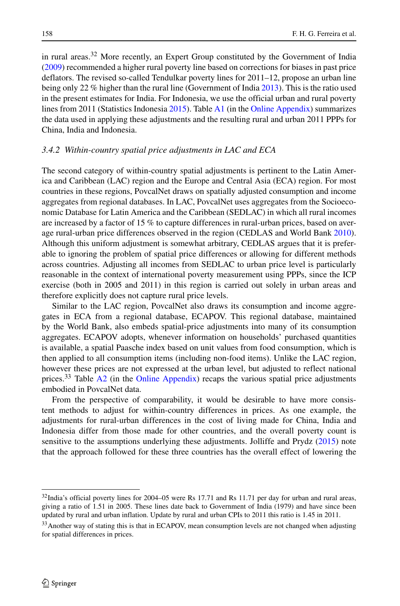in rural areas.<sup>[32](#page-17-0)</sup> More recently, an Expert Group constituted by the Government of India [\(2009\)](#page-30-21) recommended a higher rural poverty line based on corrections for biases in past price deflators. The revised so-called Tendulkar poverty lines for 2011–12, propose an urban line being only 22 % higher than the rural line (Government of India [2013\)](#page-30-22). This is the ratio used in the present estimates for India. For Indonesia, we use the official urban and rural poverty lines from 2011 (Statistics Indonesia [2015\)](#page-31-7). Table A1 (in the Online Appendix) summarizes the data used in applying these adjustments and the resulting rural and urban 2011 PPPs for China, India and Indonesia.

#### *3.4.2 Within-country spatial price adjustments in LAC and ECA*

The second category of within-country spatial adjustments is pertinent to the Latin America and Caribbean (LAC) region and the Europe and Central Asia (ECA) region. For most countries in these regions, PovcalNet draws on spatially adjusted consumption and income aggregates from regional databases. In LAC, PovcalNet uses aggregates from the Socioeconomic Database for Latin America and the Caribbean (SEDLAC) in which all rural incomes are increased by a factor of 15 % to capture differences in rural-urban prices, based on average rural-urban price differences observed in the region (CEDLAS and World Bank [2010\)](#page-29-12). Although this uniform adjustment is somewhat arbitrary, CEDLAS argues that it is preferable to ignoring the problem of spatial price differences or allowing for different methods across countries. Adjusting all incomes from SEDLAC to urban price level is particularly reasonable in the context of international poverty measurement using PPPs, since the ICP exercise (both in 2005 and 2011) in this region is carried out solely in urban areas and therefore explicitly does not capture rural price levels.

Similar to the LAC region, PovcalNet also draws its consumption and income aggregates in ECA from a regional database, ECAPOV. This regional database, maintained by the World Bank, also embeds spatial-price adjustments into many of its consumption aggregates. ECAPOV adopts, whenever information on households' purchased quantities is available, a spatial Paasche index based on unit values from food consumption, which is then applied to all consumption items (including non-food items). Unlike the LAC region, however these prices are not expressed at the urban level, but adjusted to reflect national prices.<sup>33</sup> Table  $A2$  (in the Online Appendix) recaps the various spatial price adjustments embodied in PovcalNet data.

From the perspective of comparability, it would be desirable to have more consistent methods to adjust for within-country differences in prices. As one example, the adjustments for rural-urban differences in the cost of living made for China, India and Indonesia differ from those made for other countries, and the overall poverty count is sensitive to the assumptions underlying these adjustments. Jolliffe and Prydz [\(2015\)](#page-30-4) note that the approach followed for these three countries has the overall effect of lowering the

<span id="page-17-0"></span><sup>&</sup>lt;sup>32</sup>India's official poverty lines for 2004–05 were Rs 17.71 and Rs 11.71 per day for urban and rural areas, giving a ratio of 1.51 in 2005. These lines date back to Government of India (1979) and have since been updated by rural and urban inflation. Update by rural and urban CPIs to 2011 this ratio is 1.45 in 2011.

<span id="page-17-1"></span><sup>&</sup>lt;sup>33</sup> Another way of stating this is that in ECAPOV, mean consumption levels are not changed when adjusting for spatial differences in prices.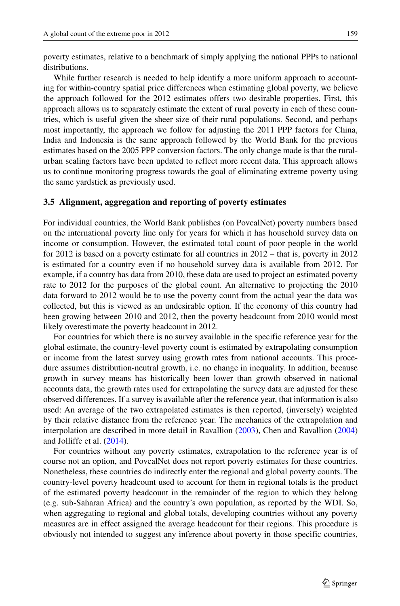poverty estimates, relative to a benchmark of simply applying the national PPPs to national distributions.

While further research is needed to help identify a more uniform approach to accounting for within-country spatial price differences when estimating global poverty, we believe the approach followed for the 2012 estimates offers two desirable properties. First, this approach allows us to separately estimate the extent of rural poverty in each of these countries, which is useful given the sheer size of their rural populations. Second, and perhaps most importantly, the approach we follow for adjusting the 2011 PPP factors for China, India and Indonesia is the same approach followed by the World Bank for the previous estimates based on the 2005 PPP conversion factors. The only change made is that the ruralurban scaling factors have been updated to reflect more recent data. This approach allows us to continue monitoring progress towards the goal of eliminating extreme poverty using the same yardstick as previously used.

#### **3.5 Alignment, aggregation and reporting of poverty estimates**

For individual countries, the World Bank publishes (on PovcalNet) poverty numbers based on the international poverty line only for years for which it has household survey data on income or consumption. However, the estimated total count of poor people in the world for 2012 is based on a poverty estimate for all countries in 2012 – that is, poverty in 2012 is estimated for a country even if no household survey data is available from 2012. For example, if a country has data from 2010, these data are used to project an estimated poverty rate to 2012 for the purposes of the global count. An alternative to projecting the 2010 data forward to 2012 would be to use the poverty count from the actual year the data was collected, but this is viewed as an undesirable option. If the economy of this country had been growing between 2010 and 2012, then the poverty headcount from 2010 would most likely overestimate the poverty headcount in 2012.

For countries for which there is no survey available in the specific reference year for the global estimate, the country-level poverty count is estimated by extrapolating consumption or income from the latest survey using growth rates from national accounts. This procedure assumes distribution-neutral growth, i.e. no change in inequality. In addition, because growth in survey means has historically been lower than growth observed in national accounts data, the growth rates used for extrapolating the survey data are adjusted for these observed differences. If a survey is available after the reference year, that information is also used: An average of the two extrapolated estimates is then reported, (inversely) weighted by their relative distance from the reference year. The mechanics of the extrapolation and interpolation are described in more detail in Ravallion [\(2003\)](#page-30-23), Chen and Ravallion [\(2004\)](#page-29-13) and Jolliffe et al. [\(2014\)](#page-30-10).

For countries without any poverty estimates, extrapolation to the reference year is of course not an option, and PovcalNet does not report poverty estimates for these countries. Nonetheless, these countries do indirectly enter the regional and global poverty counts. The country-level poverty headcount used to account for them in regional totals is the product of the estimated poverty headcount in the remainder of the region to which they belong (e.g. sub-Saharan Africa) and the country's own population, as reported by the WDI. So, when aggregating to regional and global totals, developing countries without any poverty measures are in effect assigned the average headcount for their regions. This procedure is obviously not intended to suggest any inference about poverty in those specific countries,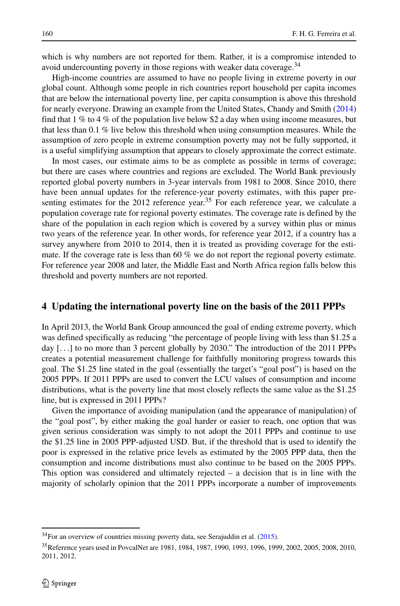which is why numbers are not reported for them. Rather, it is a compromise intended to avoid undercounting poverty in those regions with weaker data coverage.<sup>[34](#page-19-0)</sup>

High-income countries are assumed to have no people living in extreme poverty in our global count. Although some people in rich countries report household per capita incomes that are below the international poverty line, per capita consumption is above this threshold for nearly everyone. Drawing an example from the United States, Chandy and Smith [\(2014\)](#page-29-14) find that  $1\%$  to  $4\%$  of the population live below \$2 a day when using income measures, but that less than 0.1 % live below this threshold when using consumption measures. While the assumption of zero people in extreme consumption poverty may not be fully supported, it is a useful simplifying assumption that appears to closely approximate the correct estimate.

In most cases, our estimate aims to be as complete as possible in terms of coverage; but there are cases where countries and regions are excluded. The World Bank previously reported global poverty numbers in 3-year intervals from 1981 to 2008. Since 2010, there have been annual updates for the reference-year poverty estimates, with this paper presenting estimates for the  $2012$  reference year.<sup>[35](#page-19-1)</sup> For each reference year, we calculate a population coverage rate for regional poverty estimates. The coverage rate is defined by the share of the population in each region which is covered by a survey within plus or minus two years of the reference year. In other words, for reference year 2012, if a country has a survey anywhere from 2010 to 2014, then it is treated as providing coverage for the estimate. If the coverage rate is less than 60 % we do not report the regional poverty estimate. For reference year 2008 and later, the Middle East and North Africa region falls below this threshold and poverty numbers are not reported.

#### **4 Updating the international poverty line on the basis of the 2011 PPPs**

In April 2013, the World Bank Group announced the goal of ending extreme poverty, which was defined specifically as reducing "the percentage of people living with less than \$1.25 a day [*...*] to no more than 3 percent globally by 2030." The introduction of the 2011 PPPs creates a potential measurement challenge for faithfully monitoring progress towards this goal. The \$1.25 line stated in the goal (essentially the target's "goal post") is based on the 2005 PPPs. If 2011 PPPs are used to convert the LCU values of consumption and income distributions, what is the poverty line that most closely reflects the same value as the \$1.25 line, but is expressed in 2011 PPPs?

Given the importance of avoiding manipulation (and the appearance of manipulation) of the "goal post", by either making the goal harder or easier to reach, one option that was given serious consideration was simply to not adopt the 2011 PPPs and continue to use the \$1.25 line in 2005 PPP-adjusted USD. But, if the threshold that is used to identify the poor is expressed in the relative price levels as estimated by the 2005 PPP data, then the consumption and income distributions must also continue to be based on the 2005 PPPs. This option was considered and ultimately rejected – a decision that is in line with the majority of scholarly opinion that the 2011 PPPs incorporate a number of improvements

<sup>34</sup>For an overview of countries missing poverty data, see Serajuddin et al. [\(2015\)](#page-31-8).

<span id="page-19-1"></span><span id="page-19-0"></span><sup>35</sup>Reference years used in PovcalNet are 1981, 1984, 1987, 1990, 1993, 1996, 1999, 2002, 2005, 2008, 2010, 2011, 2012.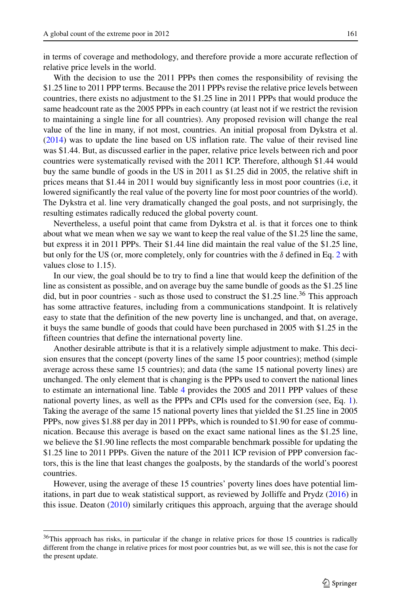in terms of coverage and methodology, and therefore provide a more accurate reflection of relative price levels in the world.

With the decision to use the 2011 PPPs then comes the responsibility of revising the \$1.25 line to 2011 PPP terms. Because the 2011 PPPs revise the relative price levels between countries, there exists no adjustment to the \$1.25 line in 2011 PPPs that would produce the same headcount rate as the 2005 PPPs in each country (at least not if we restrict the revision to maintaining a single line for all countries). Any proposed revision will change the real value of the line in many, if not most, countries. An initial proposal from Dykstra et al. [\(2014\)](#page-30-9) was to update the line based on US inflation rate. The value of their revised line was \$1.44. But, as discussed earlier in the paper, relative price levels between rich and poor countries were systematically revised with the 2011 ICP. Therefore, although \$1.44 would buy the same bundle of goods in the US in 2011 as \$1.25 did in 2005, the relative shift in prices means that \$1.44 in 2011 would buy significantly less in most poor countries (i.e, it lowered significantly the real value of the poverty line for most poor countries of the world). The Dykstra et al. line very dramatically changed the goal posts, and not surprisingly, the resulting estimates radically reduced the global poverty count.

Nevertheless, a useful point that came from Dykstra et al. is that it forces one to think about what we mean when we say we want to keep the real value of the \$1.25 line the same, but express it in 2011 PPPs. Their \$1.44 line did maintain the real value of the \$1.25 line, but only for the US (or, more completely, only for countries with the *δ* defined in Eq. [2](#page-13-2) with values close to 1.15).

In our view, the goal should be to try to find a line that would keep the definition of the line as consistent as possible, and on average buy the same bundle of goods as the \$1.25 line did, but in poor countries - such as those used to construct the \$1.25 line.<sup>[36](#page-20-0)</sup> This approach has some attractive features, including from a communications standpoint. It is relatively easy to state that the definition of the new poverty line is unchanged, and that, on average, it buys the same bundle of goods that could have been purchased in 2005 with \$1.25 in the fifteen countries that define the international poverty line.

Another desirable attribute is that it is a relatively simple adjustment to make. This decision ensures that the concept (poverty lines of the same 15 poor countries); method (simple average across these same 15 countries); and data (the same 15 national poverty lines) are unchanged. The only element that is changing is the PPPs used to convert the national lines to estimate an international line. Table [4](#page-21-0) provides the 2005 and 2011 PPP values of these national poverty lines, as well as the PPPs and CPIs used for the conversion (see, Eq. [1\)](#page-13-3). Taking the average of the same 15 national poverty lines that yielded the \$1.25 line in 2005 PPPs, now gives \$1.88 per day in 2011 PPPs, which is rounded to \$1.90 for ease of communication. Because this average is based on the exact same national lines as the \$1.25 line, we believe the \$1.90 line reflects the most comparable benchmark possible for updating the \$1.25 line to 2011 PPPs. Given the nature of the 2011 ICP revision of PPP conversion factors, this is the line that least changes the goalposts, by the standards of the world's poorest countries.

However, using the average of these 15 countries' poverty lines does have potential limitations, in part due to weak statistical support, as reviewed by Jolliffe and Prydz [\(2016\)](#page-30-24) in this issue. Deaton [\(2010\)](#page-29-2) similarly critiques this approach, arguing that the average should

<span id="page-20-0"></span><sup>&</sup>lt;sup>36</sup>This approach has risks, in particular if the change in relative prices for those 15 countries is radically different from the change in relative prices for most poor countries but, as we will see, this is not the case for the present update.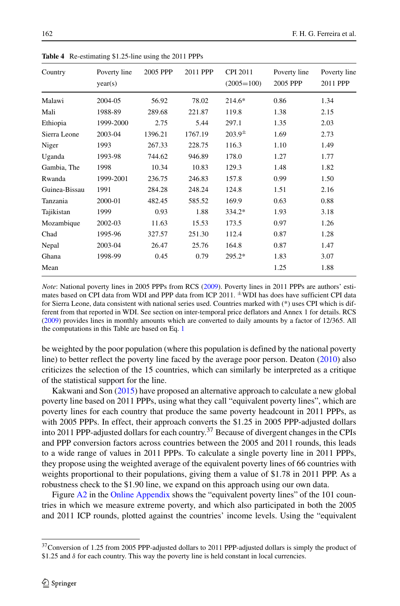| Country       | Poverty line<br>year(s) | 2005 PPP | 2011 PPP | <b>CPI 2011</b><br>$(2005=100)$ | Poverty line<br>2005 PPP | Poverty line<br>2011 PPP |
|---------------|-------------------------|----------|----------|---------------------------------|--------------------------|--------------------------|
| Malawi        | 2004-05                 | 56.92    | 78.02    | 214.6*                          | 0.86                     | 1.34                     |
| Mali          | 1988-89                 | 289.68   | 221.87   | 119.8                           | 1.38                     | 2.15                     |
| Ethiopia      | 1999-2000               | 2.75     | 5.44     | 297.1                           | 1.35                     | 2.03                     |
| Sierra Leone  | 2003-04                 | 1396.21  | 1767.19  | $203.9^{\pm}$                   | 1.69                     | 2.73                     |
| Niger         | 1993                    | 267.33   | 228.75   | 116.3                           | 1.10                     | 1.49                     |
| Uganda        | 1993-98                 | 744.62   | 946.89   | 178.0                           | 1.27                     | 1.77                     |
| Gambia, The   | 1998                    | 10.34    | 10.83    | 129.3                           | 1.48                     | 1.82                     |
| Rwanda        | 1999-2001               | 236.75   | 246.83   | 157.8                           | 0.99                     | 1.50                     |
| Guinea-Bissau | 1991                    | 284.28   | 248.24   | 124.8                           | 1.51                     | 2.16                     |
| Tanzania      | 2000-01                 | 482.45   | 585.52   | 169.9                           | 0.63                     | 0.88                     |
| Tajikistan    | 1999                    | 0.93     | 1.88     | 334.2*                          | 1.93                     | 3.18                     |
| Mozambique    | 2002-03                 | 11.63    | 15.53    | 173.5                           | 0.97                     | 1.26                     |
| Chad          | 1995-96                 | 327.57   | 251.30   | 112.4                           | 0.87                     | 1.28                     |
| Nepal         | 2003-04                 | 26.47    | 25.76    | 164.8                           | 0.87                     | 1.47                     |
| Ghana         | 1998-99                 | 0.45     | 0.79     | 295.2*                          | 1.83                     | 3.07                     |
| Mean          |                         |          |          |                                 | 1.25                     | 1.88                     |
|               |                         |          |          |                                 |                          |                          |

<span id="page-21-0"></span>**Table 4** Re-estimating \$1.25-line using the 2011 PPPs

*Note*: National poverty lines in 2005 PPPs from RCS [\(2009\)](#page-30-0). Poverty lines in 2011 PPPs are authors' estimates based on CPI data from WDI and PPP data from ICP 2011.  $\pm$ WDI has does have sufficient CPI data for Sierra Leone, data consistent with national series used. Countries marked with (\*) uses CPI which is different from that reported in WDI. See section on inter-temporal price deflators and Annex 1 for details. RCS [\(2009\)](#page-30-0) provides lines in monthly amounts which are converted to daily amounts by a factor of 12/365. All the computations in this Table are based on Eq. [1](#page-13-3)

be weighted by the poor population (where this population is defined by the national poverty line) to better reflect the poverty line faced by the average poor person. Deaton [\(2010\)](#page-29-2) also criticizes the selection of the 15 countries, which can similarly be interpreted as a critique of the statistical support for the line.

Kakwani and Son [\(2015\)](#page-30-25) have proposed an alternative approach to calculate a new global poverty line based on 2011 PPPs, using what they call "equivalent poverty lines", which are poverty lines for each country that produce the same poverty headcount in 2011 PPPs, as with 2005 PPPs. In effect, their approach converts the \$1.25 in 2005 PPP-adjusted dollars into 2011 PPP-adjusted dollars for each country.<sup>37</sup> Because of divergent changes in the CPIs and PPP conversion factors across countries between the 2005 and 2011 rounds, this leads to a wide range of values in 2011 PPPs. To calculate a single poverty line in 2011 PPPs, they propose using the weighted average of the equivalent poverty lines of 66 countries with weights proportional to their populations, giving them a value of \$1.78 in 2011 PPP. As a robustness check to the \$1.90 line, we expand on this approach using our own data.

Figure A2 in the Online Appendix shows the "equivalent poverty lines" of the 101 countries in which we measure extreme poverty, and which also participated in both the 2005 and 2011 ICP rounds, plotted against the countries' income levels. Using the "equivalent

<span id="page-21-1"></span><sup>&</sup>lt;sup>37</sup>Conversion of 1.25 from 2005 PPP-adjusted dollars to 2011 PPP-adjusted dollars is simply the product of \$1.25 and *δ* for each country. This way the poverty line is held constant in local currencies.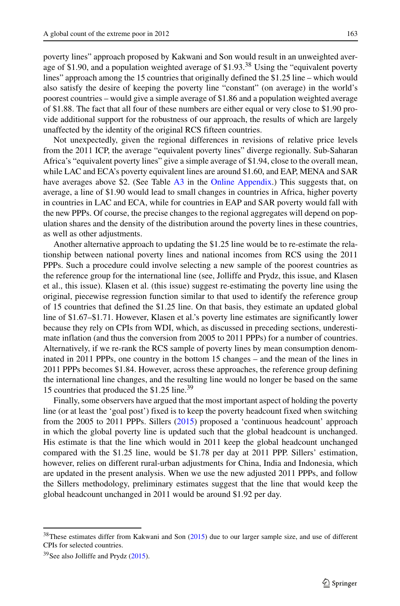poverty lines" approach proposed by Kakwani and Son would result in an unweighted average of \$1.90, and a population weighted average of  $$1.93<sup>38</sup>$  $$1.93<sup>38</sup>$  $$1.93<sup>38</sup>$  Using the "equivalent poverty lines" approach among the 15 countries that originally defined the \$1.25 line – which would also satisfy the desire of keeping the poverty line "constant" (on average) in the world's poorest countries – would give a simple average of \$1.86 and a population weighted average of \$1.88. The fact that all four of these numbers are either equal or very close to \$1*.*90 provide additional support for the robustness of our approach, the results of which are largely unaffected by the identity of the original RCS fifteen countries.

Not unexpectedly, given the regional differences in revisions of relative price levels from the 2011 ICP, the average "equivalent poverty lines" diverge regionally. Sub-Saharan Africa's "equivalent poverty lines" give a simple average of \$1.94, close to the overall mean, while LAC and ECA's poverty equivalent lines are around \$1.60, and EAP, MENA and SAR have averages above \$2. (See Table A3 in the Online Appendix.) This suggests that, on average, a line of \$1.90 would lead to small changes in countries in Africa, higher poverty in countries in LAC and ECA, while for countries in EAP and SAR poverty would fall with the new PPPs. Of course, the precise changes to the regional aggregates will depend on population shares and the density of the distribution around the poverty lines in these countries, as well as other adjustments.

Another alternative approach to updating the \$1.25 line would be to re-estimate the relationship between national poverty lines and national incomes from RCS using the 2011 PPPs. Such a procedure could involve selecting a new sample of the poorest countries as the reference group for the international line (see, Jolliffe and Prydz, this issue, and Klasen et al., this issue). Klasen et al. (this issue) suggest re-estimating the poverty line using the original, piecewise regression function similar to that used to identify the reference group of 15 countries that defined the \$1.25 line. On that basis, they estimate an updated global line of \$1.67–\$1.71. However, Klasen et al.'s poverty line estimates are significantly lower because they rely on CPIs from WDI, which, as discussed in preceding sections, underestimate inflation (and thus the conversion from 2005 to 2011 PPPs) for a number of countries. Alternatively, if we re-rank the RCS sample of poverty lines by mean consumption denominated in 2011 PPPs, one country in the bottom 15 changes – and the mean of the lines in 2011 PPPs becomes \$1.84. However, across these approaches, the reference group defining the international line changes, and the resulting line would no longer be based on the same 15 countries that produced the \$1.25 line.[39](#page-22-1)

Finally, some observers have argued that the most important aspect of holding the poverty line (or at least the 'goal post') fixed is to keep the poverty headcount fixed when switching from the 2005 to 2011 PPPs. Sillers [\(2015\)](#page-31-1) proposed a 'continuous headcount' approach in which the global poverty line is updated such that the global headcount is unchanged. His estimate is that the line which would in 2011 keep the global headcount unchanged compared with the \$1.25 line, would be \$1.78 per day at 2011 PPP. Sillers' estimation, however, relies on different rural-urban adjustments for China, India and Indonesia, which are updated in the present analysis. When we use the new adjusted 2011 PPPs, and follow the Sillers methodology, preliminary estimates suggest that the line that would keep the global headcount unchanged in 2011 would be around \$1.92 per day.

<span id="page-22-0"></span><sup>&</sup>lt;sup>38</sup>These estimates differ from Kakwani and Son [\(2015\)](#page-30-25) due to our larger sample size, and use of different CPIs for selected countries.

<span id="page-22-1"></span> $39$ See also Jolliffe and Prydz [\(2015\)](#page-30-4).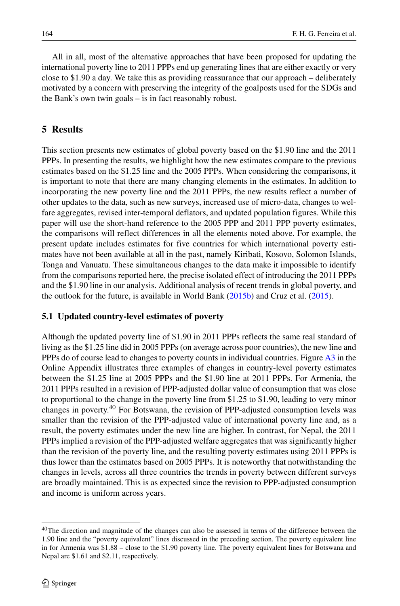All in all, most of the alternative approaches that have been proposed for updating the international poverty line to 2011 PPPs end up generating lines that are either exactly or very close to \$1.90 a day. We take this as providing reassurance that our approach – deliberately motivated by a concern with preserving the integrity of the goalposts used for the SDGs and the Bank's own twin goals – is in fact reasonably robust.

## **5 Results**

This section presents new estimates of global poverty based on the \$1.90 line and the 2011 PPPs. In presenting the results, we highlight how the new estimates compare to the previous estimates based on the \$1.25 line and the 2005 PPPs. When considering the comparisons, it is important to note that there are many changing elements in the estimates. In addition to incorporating the new poverty line and the 2011 PPPs, the new results reflect a number of other updates to the data, such as new surveys, increased use of micro-data, changes to welfare aggregates, revised inter-temporal deflators, and updated population figures. While this paper will use the short-hand reference to the 2005 PPP and 2011 PPP poverty estimates, the comparisons will reflect differences in all the elements noted above. For example, the present update includes estimates for five countries for which international poverty estimates have not been available at all in the past, namely Kiribati, Kosovo, Solomon Islands, Tonga and Vanuatu. These simultaneous changes to the data make it impossible to identify from the comparisons reported here, the precise isolated effect of introducing the 2011 PPPs and the \$1.90 line in our analysis. Additional analysis of recent trends in global poverty, and the outlook for the future, is available in World Bank [\(2015b\)](#page-31-9) and Cruz et al. [\(2015\)](#page-29-15).

## **5.1 Updated country-level estimates of poverty**

Although the updated poverty line of \$1.90 in 2011 PPPs reflects the same real standard of living as the \$1.25 line did in 2005 PPPs (on average across poor countries), the new line and PPPs do of course lead to changes to poverty counts in individual countries. Figure A3 in the Online Appendix illustrates three examples of changes in country-level poverty estimates between the \$1.25 line at 2005 PPPs and the \$1.90 line at 2011 PPPs. For Armenia, the 2011 PPPs resulted in a revision of PPP-adjusted dollar value of consumption that was close to proportional to the change in the poverty line from \$1.25 to \$1.90, leading to very minor changes in poverty.[40](#page-23-0) For Botswana, the revision of PPP-adjusted consumption levels was smaller than the revision of the PPP-adjusted value of international poverty line and, as a result, the poverty estimates under the new line are higher. In contrast, for Nepal, the 2011 PPPs implied a revision of the PPP-adjusted welfare aggregates that was significantly higher than the revision of the poverty line, and the resulting poverty estimates using 2011 PPPs is thus lower than the estimates based on 2005 PPPs. It is noteworthy that notwithstanding the changes in levels, across all three countries the trends in poverty between different surveys are broadly maintained. This is as expected since the revision to PPP-adjusted consumption and income is uniform across years.

<span id="page-23-0"></span><sup>&</sup>lt;sup>40</sup>The direction and magnitude of the changes can also be assessed in terms of the difference between the 1.90 line and the "poverty equivalent" lines discussed in the preceding section. The poverty equivalent line in for Armenia was \$1.88 – close to the \$1.90 poverty line. The poverty equivalent lines for Botswana and Nepal are \$1.61 and \$2.11, respectively.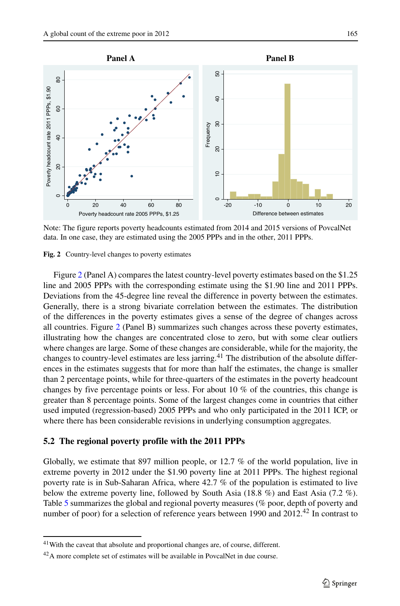<span id="page-24-0"></span>

Note: The figure reports poverty headcounts estimated from 2014 and 2015 versions of PovcalNet data. In one case, they are estimated using the 2005 PPPs and in the other, 2011 PPPs.

**Fig. 2** Country-level changes to poverty estimates

Figure [2](#page-24-0) (Panel A) compares the latest country-level poverty estimates based on the \$1.25 line and 2005 PPPs with the corresponding estimate using the \$1.90 line and 2011 PPPs. Deviations from the 45-degree line reveal the difference in poverty between the estimates. Generally, there is a strong bivariate correlation between the estimates. The distribution of the differences in the poverty estimates gives a sense of the degree of changes across all countries. Figure [2](#page-24-0) (Panel B) summarizes such changes across these poverty estimates, illustrating how the changes are concentrated close to zero, but with some clear outliers where changes are large. Some of these changes are considerable, while for the majority, the changes to country-level estimates are less jarring.<sup>[41](#page-24-1)</sup> The distribution of the absolute differences in the estimates suggests that for more than half the estimates, the change is smaller than 2 percentage points, while for three-quarters of the estimates in the poverty headcount changes by five percentage points or less. For about 10 % of the countries, this change is greater than 8 percentage points. Some of the largest changes come in countries that either used imputed (regression-based) 2005 PPPs and who only participated in the 2011 ICP, or where there has been considerable revisions in underlying consumption aggregates.

#### **5.2 The regional poverty profile with the 2011 PPPs**

Globally, we estimate that 897 million people, or 12.7 % of the world population, live in extreme poverty in 2012 under the \$1.90 poverty line at 2011 PPPs. The highest regional poverty rate is in Sub-Saharan Africa, where 42.7 % of the population is estimated to live below the extreme poverty line, followed by South Asia (18.8 %) and East Asia (7.2 %). Table [5](#page-25-0) summarizes the global and regional poverty measures (% poor, depth of poverty and number of poor) for a selection of reference years between 1990 and 2012.<sup>42</sup> In contrast to

<sup>&</sup>lt;sup>41</sup>With the caveat that absolute and proportional changes are, of course, different.

<span id="page-24-2"></span><span id="page-24-1"></span><sup>42</sup>A more complete set of estimates will be available in PovcalNet in due course.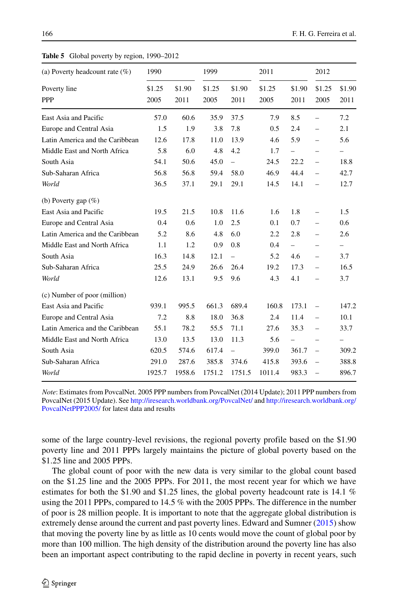<span id="page-25-0"></span>

| (a) Poverty headcount rate $(\%)$ | 1990           |                | 1999           |                          | 2011           |                          | 2012                     |                          |
|-----------------------------------|----------------|----------------|----------------|--------------------------|----------------|--------------------------|--------------------------|--------------------------|
| Poverty line<br><b>PPP</b>        | \$1.25<br>2005 | \$1.90<br>2011 | \$1.25<br>2005 | \$1.90<br>2011           | \$1.25<br>2005 | \$1.90<br>2011           | \$1.25<br>2005           | \$1.90<br>2011           |
| East Asia and Pacific             | 57.0           | 60.6           | 35.9           | 37.5                     | 7.9            | 8.5                      | $\overline{a}$           | 7.2                      |
| Europe and Central Asia           | 1.5            | 1.9            | 3.8            | 7.8                      | 0.5            | 2.4                      | $\overline{a}$           | 2.1                      |
| Latin America and the Caribbean   | 12.6           | 17.8           | 11.0           | 13.9                     | 4.6            | 5.9                      | $\overline{\phantom{0}}$ | 5.6                      |
| Middle East and North Africa      | 5.8            | 6.0            | 4.8            | 4.2                      | 1.7            | $\qquad \qquad -$        | $\overline{\phantom{0}}$ | -                        |
| South Asia                        | 54.1           | 50.6           | 45.0           | $\equiv$                 | 24.5           | 22.2                     | $\overline{\phantom{0}}$ | 18.8                     |
| Sub-Saharan Africa                | 56.8           | 56.8           | 59.4           | 58.0                     | 46.9           | 44.4                     | $\overline{a}$           | 42.7                     |
| World                             | 36.5           | 37.1           | 29.1           | 29.1                     | 14.5           | 14.1                     | $\overline{a}$           | 12.7                     |
| (b) Poverty gap $(\%)$            |                |                |                |                          |                |                          |                          |                          |
| East Asia and Pacific             | 19.5           | 21.5           | 10.8           | 11.6                     | 1.6            | 1.8                      | $\overline{\phantom{0}}$ | 1.5                      |
| Europe and Central Asia           | 0.4            | 0.6            | 1.0            | 2.5                      | 0.1            | 0.7                      | $\overline{\phantom{0}}$ | 0.6                      |
| Latin America and the Caribbean   | 5.2            | 8.6            | 4.8            | 6.0                      | 2.2            | 2.8                      | $\overline{\phantom{0}}$ | 2.6                      |
| Middle East and North Africa      | 1.1            | 1.2            | 0.9            | 0.8                      | 0.4            | $\qquad \qquad -$        | $\overline{\phantom{0}}$ | $\overline{\phantom{0}}$ |
| South Asia                        | 16.3           | 14.8           | 12.1           | $\overline{\phantom{0}}$ | 5.2            | 4.6                      | $\overline{\phantom{0}}$ | 3.7                      |
| Sub-Saharan Africa                | 25.5           | 24.9           | 26.6           | 26.4                     | 19.2           | 17.3                     | $\overline{\phantom{0}}$ | 16.5                     |
| World                             | 12.6           | 13.1           | 9.5            | 9.6                      | 4.3            | 4.1                      |                          | 3.7                      |
| (c) Number of poor (million)      |                |                |                |                          |                |                          |                          |                          |
| East Asia and Pacific             | 939.1          | 995.5          | 661.3          | 689.4                    | 160.8          | 173.1                    | $\overline{a}$           | 147.2                    |
| Europe and Central Asia           | 7.2            | 8.8            | 18.0           | 36.8                     | 2.4            | 11.4                     | $\overline{\phantom{0}}$ | 10.1                     |
| Latin America and the Caribbean   | 55.1           | 78.2           | 55.5           | 71.1                     | 27.6           | 35.3                     | $\overline{\phantom{0}}$ | 33.7                     |
| Middle East and North Africa      | 13.0           | 13.5           | 13.0           | 11.3                     | 5.6            | $\overline{\phantom{0}}$ | $\overline{a}$           | $\qquad \qquad -$        |
| South Asia                        | 620.5          | 574.6          | 617.4          | $\equiv$                 | 399.0          | 361.7                    | $\overline{a}$           | 309.2                    |
| Sub-Saharan Africa                | 291.0          | 287.6          | 385.8          | 374.6                    | 415.8          | 393.6                    | $\overline{a}$           | 388.8                    |
| World                             | 1925.7         | 1958.6         | 1751.2         | 1751.5                   | 1011.4         | 983.3                    | $\overline{a}$           | 896.7                    |

*Note*: Estimates from PovcalNet. 2005 PPP numbers from PovcalNet (2014 Update); 2011 PPP numbers from PovcalNet (2015 Update). See <http://iresearch.worldbank.org/PovcalNet/> and [http://iresearch.worldbank.org/](http://iresearch.worldbank.org/PovcalNetPPP2005/) [PovcalNetPPP2005/](http://iresearch.worldbank.org/PovcalNetPPP2005/) for latest data and results

some of the large country-level revisions, the regional poverty profile based on the \$1.90 poverty line and 2011 PPPs largely maintains the picture of global poverty based on the \$1.25 line and 2005 PPPs.

The global count of poor with the new data is very similar to the global count based on the \$1.25 line and the 2005 PPPs. For 2011, the most recent year for which we have estimates for both the \$1.90 and \$1.25 lines, the global poverty headcount rate is 14.1 % using the 2011 PPPs, compared to 14.5 % with the 2005 PPPs. The difference in the number of poor is 28 million people. It is important to note that the aggregate global distribution is extremely dense around the current and past poverty lines. Edward and Sumner [\(2015\)](#page-30-26) show that moving the poverty line by as little as 10 cents would move the count of global poor by more than 100 million. The high density of the distribution around the poverty line has also been an important aspect contributing to the rapid decline in poverty in recent years, such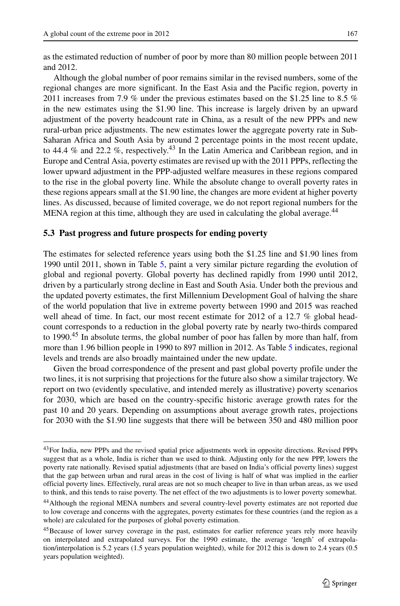Although the global number of poor remains similar in the revised numbers, some of the regional changes are more significant. In the East Asia and the Pacific region, poverty in 2011 increases from 7.9 % under the previous estimates based on the \$1.25 line to 8.5 % in the new estimates using the \$1.90 line. This increase is largely driven by an upward adjustment of the poverty headcount rate in China, as a result of the new PPPs and new rural-urban price adjustments. The new estimates lower the aggregate poverty rate in Sub-Saharan Africa and South Asia by around 2 percentage points in the most recent update, to 44.4 % and 22.2 %, respectively.[43](#page-26-0) In the Latin America and Caribbean region, and in Europe and Central Asia, poverty estimates are revised up with the 2011 PPPs, reflecting the lower upward adjustment in the PPP-adjusted welfare measures in these regions compared to the rise in the global poverty line. While the absolute change to overall poverty rates in these regions appears small at the \$1.90 line, the changes are more evident at higher poverty lines. As discussed, because of limited coverage, we do not report regional numbers for the MENA region at this time, although they are used in calculating the global average.<sup>[44](#page-26-1)</sup>

### **5.3 Past progress and future prospects for ending poverty**

The estimates for selected reference years using both the \$1.25 line and \$1.90 lines from 1990 until 2011, shown in Table [5,](#page-25-0) paint a very similar picture regarding the evolution of global and regional poverty. Global poverty has declined rapidly from 1990 until 2012, driven by a particularly strong decline in East and South Asia. Under both the previous and the updated poverty estimates, the first Millennium Development Goal of halving the share of the world population that live in extreme poverty between 1990 and 2015 was reached well ahead of time. In fact, our most recent estimate for 2012 of a 12.7 % global headcount corresponds to a reduction in the global poverty rate by nearly two-thirds compared to 1990.<sup>[45](#page-26-2)</sup> In absolute terms, the global number of poor has fallen by more than half, from more than 1.96 billion people in 1990 to 897 million in 2012. As Table [5](#page-25-0) indicates, regional levels and trends are also broadly maintained under the new update.

Given the broad correspondence of the present and past global poverty profile under the two lines, it is not surprising that projections for the future also show a similar trajectory. We report on two (evidently speculative, and intended merely as illustrative) poverty scenarios for 2030, which are based on the country-specific historic average growth rates for the past 10 and 20 years. Depending on assumptions about average growth rates, projections for 2030 with the \$1.90 line suggests that there will be between 350 and 480 million poor

<span id="page-26-0"></span><sup>43</sup>For India, new PPPs and the revised spatial price adjustments work in opposite directions. Revised PPPs suggest that as a whole, India is richer than we used to think. Adjusting only for the new PPP, lowers the poverty rate nationally. Revised spatial adjustments (that are based on India's official poverty lines) suggest that the gap between urban and rural areas in the cost of living is half of what was implied in the earlier official poverty lines. Effectively, rural areas are not so much cheaper to live in than urban areas, as we used to think, and this tends to raise poverty. The net effect of the two adjustments is to lower poverty somewhat.

<span id="page-26-1"></span><sup>44</sup>Although the regional MENA numbers and several country-level poverty estimates are not reported due to low coverage and concerns with the aggregates, poverty estimates for these countries (and the region as a whole) are calculated for the purposes of global poverty estimation.

<span id="page-26-2"></span><sup>45</sup>Because of lower survey coverage in the past, estimates for earlier reference years rely more heavily on interpolated and extrapolated surveys. For the 1990 estimate, the average 'length' of extrapolation/interpolation is 5.2 years (1.5 years population weighted), while for 2012 this is down to 2.4 years (0.5 years population weighted).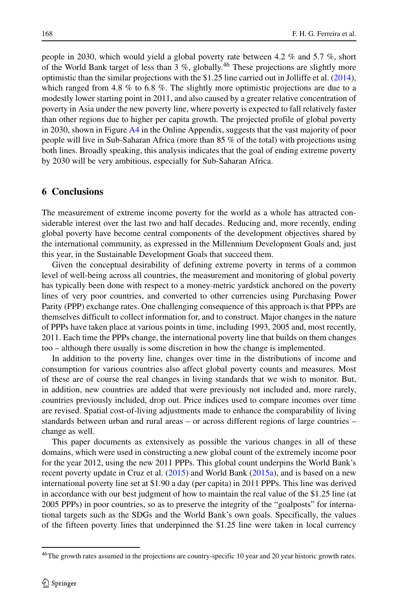people in 2030, which would yield a global poverty rate between 4.2 % and 5.7 %, short of the World Bank target of less than  $3\%$ , globally.<sup>46</sup> These projections are slightly more optimistic than the similar projections with the \$1.25 line carried out in Jolliffe et al. [\(2014\)](#page-30-10), which ranged from 4.8 % to 6.8 %. The slightly more optimistic projections are due to a modestly lower starting point in 2011, and also caused by a greater relative concentration of poverty in Asia under the new poverty line, where poverty is expected to fall relatively faster than other regions due to higher per capita growth. The projected profile of global poverty in 2030, shown in Figure A4 in the Online Appendix, suggests that the vast majority of poor people will live in Sub-Saharan Africa (more than 85 % of the total) with projections using both lines. Broadly speaking, this analysis indicates that the goal of ending extreme poverty by 2030 will be very ambitious, especially for Sub-Saharan Africa.

## **6 Conclusions**

The measurement of extreme income poverty for the world as a whole has attracted considerable interest over the last two and half decades. Reducing and, more recently, ending global poverty have become central components of the development objectives shared by the international community, as expressed in the Millennium Development Goals and, just this year, in the Sustainable Development Goals that succeed them.

Given the conceptual desirability of defining extreme poverty in terms of a common level of well-being across all countries, the measurement and monitoring of global poverty has typically been done with respect to a money-metric yardstick anchored on the poverty lines of very poor countries, and converted to other currencies using Purchasing Power Parity (PPP) exchange rates. One challenging consequence of this approach is that PPPs are themselves difficult to collect information for, and to construct. Major changes in the nature of PPPs have taken place at various points in time, including 1993, 2005 and, most recently, 2011. Each time the PPPs change, the international poverty line that builds on them changes too – although there usually is some discretion in how the change is implemented.

In addition to the poverty line, changes over time in the distributions of income and consumption for various countries also affect global poverty counts and measures. Most of these are of course the real changes in living standards that we wish to monitor. But, in addition, new countries are added that were previously not included and, more rarely, countries previously included, drop out. Price indices used to compare incomes over time are revised. Spatial cost-of-living adjustments made to enhance the comparability of living standards between urban and rural areas – or across different regions of large countries – change as well.

This paper documents as extensively as possible the various changes in all of these domains, which were used in constructing a new global count of the extremely income poor for the year 2012, using the new 2011 PPPs. This global count underpins the World Bank's recent poverty update in Cruz et al. [\(2015\)](#page-29-15) and World Bank [\(2015a\)](#page-31-2), and is based on a new international poverty line set at \$1.90 a day (per capita) in 2011 PPPs. This line was derived in accordance with our best judgment of how to maintain the real value of the \$1.25 line (at 2005 PPPs) in poor countries, so as to preserve the integrity of the "goalposts" for international targets such as the SDGs and the World Bank's own goals. Specifically, the values of the fifteen poverty lines that underpinned the \$1.25 line were taken in local currency

<span id="page-27-0"></span><sup>&</sup>lt;sup>46</sup>The growth rates assumed in the projections are country-specific 10 year and 20 year historic growth rates.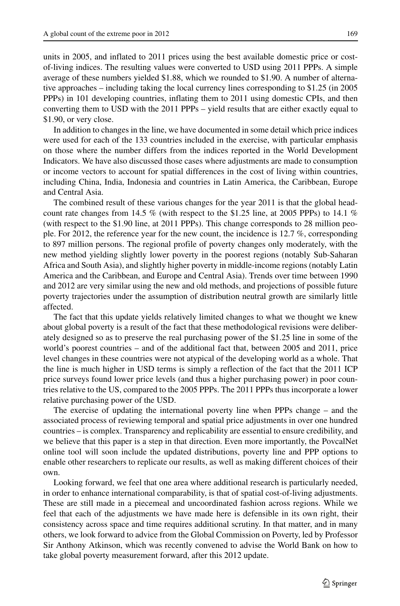units in 2005, and inflated to 2011 prices using the best available domestic price or costof-living indices. The resulting values were converted to USD using 2011 PPPs. A simple average of these numbers yielded \$1.88, which we rounded to \$1.90. A number of alternative approaches – including taking the local currency lines corresponding to \$1.25 (in 2005 PPPs) in 101 developing countries, inflating them to 2011 using domestic CPIs, and then converting them to USD with the 2011 PPPs – yield results that are either exactly equal to \$1.90, or very close.

In addition to changes in the line, we have documented in some detail which price indices were used for each of the 133 countries included in the exercise, with particular emphasis on those where the number differs from the indices reported in the World Development Indicators. We have also discussed those cases where adjustments are made to consumption or income vectors to account for spatial differences in the cost of living within countries, including China, India, Indonesia and countries in Latin America, the Caribbean, Europe and Central Asia.

The combined result of these various changes for the year 2011 is that the global headcount rate changes from 14.5 % (with respect to the \$1.25 line, at 2005 PPPs) to 14.1 % (with respect to the \$1.90 line, at 2011 PPPs). This change corresponds to 28 million people. For 2012, the reference year for the new count, the incidence is 12.7 %, corresponding to 897 million persons. The regional profile of poverty changes only moderately, with the new method yielding slightly lower poverty in the poorest regions (notably Sub-Saharan Africa and South Asia), and slightly higher poverty in middle-income regions (notably Latin America and the Caribbean, and Europe and Central Asia). Trends over time between 1990 and 2012 are very similar using the new and old methods, and projections of possible future poverty trajectories under the assumption of distribution neutral growth are similarly little affected.

The fact that this update yields relatively limited changes to what we thought we knew about global poverty is a result of the fact that these methodological revisions were deliberately designed so as to preserve the real purchasing power of the \$1.25 line in some of the world's poorest countries – and of the additional fact that, between 2005 and 2011, price level changes in these countries were not atypical of the developing world as a whole. That the line is much higher in USD terms is simply a reflection of the fact that the 2011 ICP price surveys found lower price levels (and thus a higher purchasing power) in poor countries relative to the US, compared to the 2005 PPPs. The 2011 PPPs thus incorporate a lower relative purchasing power of the USD.

The exercise of updating the international poverty line when PPPs change – and the associated process of reviewing temporal and spatial price adjustments in over one hundred countries – is complex. Transparency and replicability are essential to ensure credibility, and we believe that this paper is a step in that direction. Even more importantly, the PovcalNet online tool will soon include the updated distributions, poverty line and PPP options to enable other researchers to replicate our results, as well as making different choices of their own.

Looking forward, we feel that one area where additional research is particularly needed, in order to enhance international comparability, is that of spatial cost-of-living adjustments. These are still made in a piecemeal and uncoordinated fashion across regions. While we feel that each of the adjustments we have made here is defensible in its own right, their consistency across space and time requires additional scrutiny. In that matter, and in many others, we look forward to advice from the Global Commission on Poverty, led by Professor Sir Anthony Atkinson, which was recently convened to advise the World Bank on how to take global poverty measurement forward, after this 2012 update.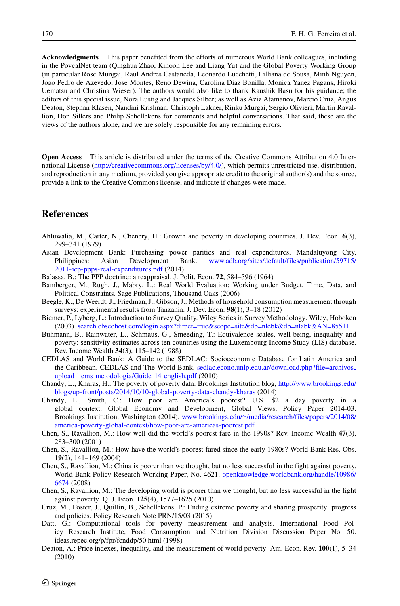**Acknowledgments** This paper benefited from the efforts of numerous World Bank colleagues, including in the PovcalNet team (Qinghua Zhao, Kihoon Lee and Liang Yu) and the Global Poverty Working Group (in particular Rose Mungai, Raul Andres Castaneda, Leonardo Lucchetti, Lilliana de Sousa, Minh Nguyen, Joao Pedro de Azevedo, Jose Montes, Reno Dewina, Carolina Diaz Bonilla, Monica Yanez Pagans, Hiroki Uematsu and Christina Wieser). The authors would also like to thank Kaushik Basu for his guidance; the editors of this special issue, Nora Lustig and Jacques Silber; as well as Aziz Atamanov, Marcio Cruz, Angus Deaton, Stephan Klasen, Nandini Krishnan, Christoph Lakner, Rinku Murgai, Sergio Olivieri, Martin Ravallion, Don Sillers and Philip Schellekens for comments and helpful conversations. That said, these are the views of the authors alone, and we are solely responsible for any remaining errors.

**Open Access** This article is distributed under the terms of the Creative Commons Attribution 4.0 International License [\(http://creativecommons.org/licenses/by/4.0/\)](http://creativecommons.org/licenses/by/4.0/), which permits unrestricted use, distribution, and reproduction in any medium, provided you give appropriate credit to the original author(s) and the source, provide a link to the Creative Commons license, and indicate if changes were made.

## **References**

- <span id="page-29-3"></span>Ahluwalia, M., Carter, N., Chenery, H.: Growth and poverty in developing countries. J. Dev. Econ. **6**(3), 299–341 (1979)
- Asian Development Bank: Purchasing power parities and real expenditures. Mandaluyong City, Philippines: Asian Development Bank. [www.adb.org/sites/default/files/publication/59715/](www.adb.org/sites/default/files/publication/59715/2011-icp-ppps-real-expenditures.pdf) [2011-icp-ppps-real-expenditures.pdf](www.adb.org/sites/default/files/publication/59715/2011-icp-ppps-real-expenditures.pdf) (2014)
- <span id="page-29-10"></span>Balassa, B.: The PPP doctrine: a reappraisal. J. Polit. Econ. **72**, 584–596 (1964)
- <span id="page-29-7"></span>Bamberger, M., Rugh, J., Mabry, L.: Real World Evaluation: Working under Budget, Time, Data, and Political Constraints. Sage Publications, Thousand Oaks (2006)
- <span id="page-29-6"></span>Beegle, K., De Weerdt, J., Friedman, J., Gibson, J.: Methods of household consumption measurement through surveys: experimental results from Tanzania. J. Dev. Econ. **98**(1), 3–18 (2012)
- <span id="page-29-8"></span>Biemer, P., Lyberg, L.: Introduction to Survey Quality. Wiley Series in Survey Methodology. Wiley, Hoboken (2003). <search.ebscohost.com/login.aspx?direct=true&scope=site&db=nlebk&db=nlabk&AN=85511>
- <span id="page-29-5"></span>Buhmann, B., Rainwater, L., Schmaus, G., Smeeding, T.: Equivalence scales, well-being, inequality and poverty: sensitivity estimates across ten countries using the Luxembourg Income Study (LIS) database. Rev. Income Wealth **34**(3), 115–142 (1988)
- <span id="page-29-12"></span>CEDLAS and World Bank: A Guide to the SEDLAC: Socioeconomic Database for Latin America and the Caribbean. CEDLAS and The World Bank. [sedlac.econo.unlp.edu.ar/download.php?file=archivos](sedlac.econo.unlp.edu.ar/download.php?file=archivos_upload_items_metodologia/Guide_14_english.pdf)\_ upload items [metodologia/Guide](sedlac.econo.unlp.edu.ar/download.php?file=archivos_upload_items_metodologia/Guide_14_english.pdf) 14 english.pdf (2010)
- <span id="page-29-4"></span>Chandy, L., Kharas, H.: The poverty of poverty data: Brookings Institution blog, [http://www.brookings.edu/](http://www.brookings.edu/blogs/up-front/posts/2014/10/10-global-poverty-data-chandy-kharas) [blogs/up-front/posts/2014/10/10-global-poverty-data-chandy-kharas](http://www.brookings.edu/blogs/up-front/posts/2014/10/10-global-poverty-data-chandy-kharas) (2014)
- <span id="page-29-14"></span>Chandy, L., Smith, C.: How poor are America's poorest? U.S. \$2 a day poverty in a global context. Global Economy and Development, Global Views, Policy Paper 2014-03. Brookings Institution, Washington (2014). www.brookings.edu/∼[/media/research/files/papers/2014/08/](www.brookings.edu/~/media/research/files/papers/2014/08/america-poverty-global-context/how-poor-are-americas-poorest.pdf) [america-poverty-global-context/how-poor-are-americas-poorest.pdf](www.brookings.edu/~/media/research/files/papers/2014/08/america-poverty-global-context/how-poor-are-americas-poorest.pdf)
- <span id="page-29-0"></span>Chen, S., Ravallion, M.: How well did the world's poorest fare in the 1990s? Rev. Income Wealth **47**(3), 283–300 (2001)
- <span id="page-29-13"></span>Chen, S., Ravallion, M.: How have the world's poorest fared since the early 1980s? World Bank Res. Obs. **19**(2), 141–169 (2004)
- <span id="page-29-11"></span>Chen, S., Ravallion, M.: China is poorer than we thought, but no less successful in the fight against poverty. World Bank Policy Research Working Paper, No. 4621. [openknowledge.worldbank.org/handle/10986/](openknowledge.worldbank.org/handle/10986/6674) [6674](openknowledge.worldbank.org/handle/10986/6674) (2008)
- <span id="page-29-1"></span>Chen, S., Ravallion, M.: The developing world is poorer than we thought, but no less successful in the fight against poverty. Q. J. Econ. **125**(4), 1577–1625 (2010)
- <span id="page-29-15"></span>Cruz, M., Foster, J., Quillin, B., Schellekens, P.: Ending extreme poverty and sharing prosperity: progress and policies. Policy Research Note PRN/15/03 (2015)
- <span id="page-29-9"></span>Datt, G.: Computational tools for poverty measurement and analysis. International Food Policy Research Institute, Food Consumption and Nutrition Division Discussion Paper No. 50. ideas.repec.org/p/fpr/fcnddp/50.html (1998)
- <span id="page-29-2"></span>Deaton, A.: Price indexes, inequality, and the measurement of world poverty. Am. Econ. Rev. **100**(1), 5–34 (2010)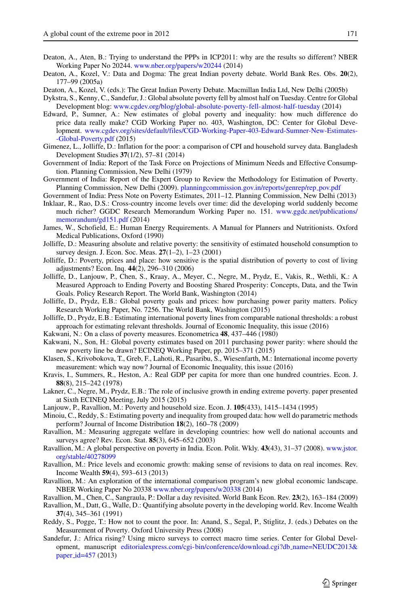- <span id="page-30-5"></span>Deaton, A., Aten, B.: Trying to understand the PPPs in ICP2011: why are the results so different? NBER Working Paper No 20244. <www.nber.org/papers/w20244> (2014)
- <span id="page-30-13"></span>Deaton, A., Kozel, V.: Data and Dogma: The great Indian poverty debate. World Bank Res. Obs. **20**(2), 177–99 (2005a)
- Deaton, A., Kozel, V. (eds.): The Great Indian Poverty Debate. Macmillan India Ltd, New Delhi (2005b)
- <span id="page-30-9"></span>Dykstra, S., Kenny, C., Sandefur, J.: Global absolute poverty fell by almost half on Tuesday. Centre for Global Development blog: <www.cgdev.org/blog/global-absolute-poverty-fell-almost-half-tuesday> (2014)
- <span id="page-30-26"></span>Edward, P., Sumner, A.: New estimates of global poverty and inequality: how much difference do price data really make? CGD Working Paper no. 403, Washington, DC: Center for Global Development. www.cgdev.org/sites/default/files/CGD-Working-Paper-403-Edward-Sumner-New-Estimates- -Global-Poverty.pdf (2015)
- <span id="page-30-17"></span>Gimenez, L., Jolliffe, D.: Inflation for the poor: a comparison of CPI and household survey data. Bangladesh Development Studies **37**(1/2), 57–81 (2014)
- Government of India: Report of the Task Force on Projections of Minimum Needs and Effective Consumption. Planning Commission, New Delhi (1979)
- <span id="page-30-21"></span>Government of India: Report of the Expert Group to Review the Methodology for Estimation of Poverty. Planning Commission, New Delhi (2009). [planningcommission.gov.in/reports/genrep/rep](planningcommission.gov.in/reports/genrep/rep_pov.pdf)\_pov.pdf
- <span id="page-30-22"></span>Government of India: Press Note on Poverty Estimates, 2011–12. Planning Commission, New Delhi (2013)
- <span id="page-30-6"></span>Inklaar, R., Rao, D.S.: Cross-country income levels over time: did the developing world suddenly become much richer? GGDC Research Memorandum Working Paper no. 151. [www.ggdc.net/publications/](www.ggdc.net/publications/memorandum/gd151.pdf) [memorandum/gd151.pdf](www.ggdc.net/publications/memorandum/gd151.pdf) (2014)
- <span id="page-30-12"></span>James, W., Schofield, E.: Human Energy Requirements. A Manual for Planners and Nutritionists. Oxford Medical Publications, Oxford (1990)
- <span id="page-30-14"></span>Jolliffe, D.: Measuring absolute and relative poverty: the sensitivity of estimated household consumption to survey design. J. Econ. Soc. Meas. **27**(1–2), 1–23 (2001)
- <span id="page-30-18"></span>Jolliffe, D.: Poverty, prices and place: how sensitive is the spatial distribution of poverty to cost of living adjustments? Econ. Inq. **44**(2), 296–310 (2006)
- <span id="page-30-10"></span>Jolliffe, D., Lanjouw, P., Chen, S., Kraay, A., Meyer, C., Negre, M., Prydz, E., Vakis, R., Wethli, K.: A Measured Approach to Ending Poverty and Boosting Shared Prosperity: Concepts, Data, and the Twin Goals. Policy Research Report. The World Bank, Washington (2014)
- <span id="page-30-4"></span>Jolliffe, D., Prydz, E.B.: Global poverty goals and prices: how purchasing power parity matters. Policy Research Working Paper, No. 7256. The World Bank, Washington (2015)
- <span id="page-30-24"></span>Jolliffe, D., Prydz, E.B.: Estimating international poverty lines from comparable national thresholds: a robust approach for estimating relevant thresholds. Journal of Economic Inequality, this issue (2016)
- <span id="page-30-16"></span>Kakwani, N.: On a class of poverty measures. Econometrica **48**, 437–446 (1980)
- <span id="page-30-25"></span>Kakwani, N., Son, H.: Global poverty estimates based on 2011 purchasing power parity: where should the new poverty line be drawn? ECINEQ Working Paper, pp. 2015–371 (2015)
- Klasen, S., Krivobokova, T., Greb, F., Lahoti, R., Pasaribu, S., Wiesenfarth, M.: International income poverty measurement: which way now? Journal of Economic Inequality, this issue (2016)
- <span id="page-30-3"></span>Kravis, I., Summers, R., Heston, A.: Real GDP per capita for more than one hundred countries. Econ. J. **88**(8), 215–242 (1978)
- <span id="page-30-20"></span>Lakner, C., Negre, M., Prydz, E.B.: The role of inclusive growth in ending extreme poverty. paper presented at Sixth ECINEQ Meeting, July 2015 (2015)
- <span id="page-30-11"></span>Lanjouw, P., Ravallion, M.: Poverty and household size. Econ. J. **105**(433), 1415–1434 (1995)
- <span id="page-30-15"></span>Minoiu, C., Reddy, S.: Estimating poverty and inequality from grouped data: how well do parametric methods perform? Journal of Income Distribution **18**(2), 160–78 (2009)
- <span id="page-30-23"></span>Ravallion, M.: Measuring aggregate welfare in developing countries: how well do national accounts and surveys agree? Rev. Econ. Stat. **85**(3), 645–652 (2003)
- <span id="page-30-19"></span>Ravallion, M.: A global perspective on poverty in India. Econ. Polit. Wkly. **43**(43), 31–37 (2008). [www.jstor.](www.jstor.org/stable/40278099) [org/stable/40278099](www.jstor.org/stable/40278099)
- <span id="page-30-8"></span>Ravallion, M.: Price levels and economic growth: making sense of revisions to data on real incomes. Rev. Income Wealth **59**(4), 593–613 (2013)
- <span id="page-30-7"></span>Ravallion, M.: An exploration of the international comparison program's new global economic landscape. NBER Working Paper No 20338 <www.nber.org/papers/w20338> (2014)
- <span id="page-30-0"></span>Ravallion, M., Chen, C., Sangraula, P.: Dollar a day revisited. World Bank Econ. Rev. **23**(2), 163–184 (2009)
- <span id="page-30-1"></span>Ravallion, M., Datt, G., Walle, D.: Quantifying absolute poverty in the developing world. Rev. Income Wealth **37**(4), 345–361 (1991)
- <span id="page-30-2"></span>Reddy, S., Pogge, T.: How not to count the poor. In: Anand, S., Segal, P., Stiglitz, J. (eds.) Debates on the Measurement of Poverty. Oxford University Press (2008)
- Sandefur, J.: Africa rising? Using micro surveys to correct macro time series. Center for Global Development, manuscript [editorialexpress.com/cgi-bin/conference/download.cgi?db](editorialexpress.com/cgi-bin/conference/download.cgi?db_name=NEUDC2013&paper_id=457) name=NEUDC2013& paper [id=457](editorialexpress.com/cgi-bin/conference/download.cgi?db_name=NEUDC2013&paper_id=457) (2013)